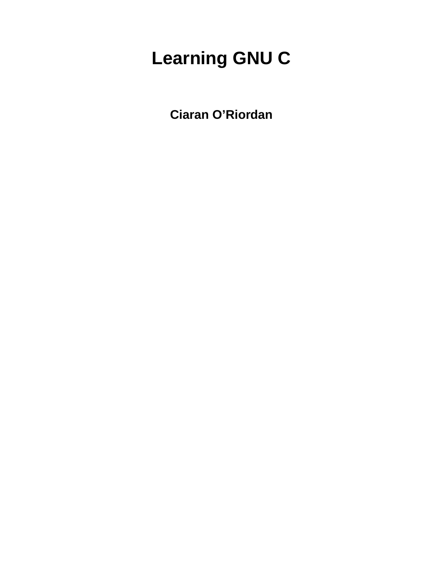# **Learning GNU C**

**Ciaran O'Riordan**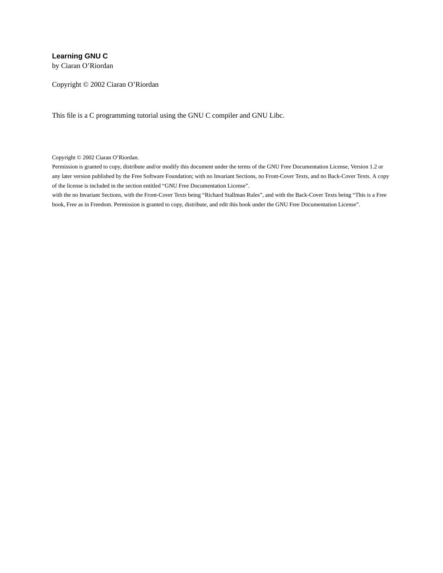#### **Learning GNU C**

by Ciaran O'Riordan

Copyright © 2002 Ciaran O'Riordan

This file is a C programming tutorial using the GNU C compiler and GNU Libc.

Copyright © 2002 Ciaran O'Riordan.

Permission is granted to copy, distribute and/or modify this document under the terms of the GNU Free Documentation License, Version 1.2 or any later version published by the Free Software Foundation; with no Invariant Sections, no Front-Cover Texts, and no Back-Cover Texts. A copy of the license is included in the section entitled "GNU Free Documentation License".

with the no Invariant Sections, with the Front-Cover Texts being "Richard Stallman Rules", and with the Back-Cover Texts being "This is a Free book, Free as in Freedom. Permission is granted to copy, distribute, and edit this book under the GNU Free Documentation License".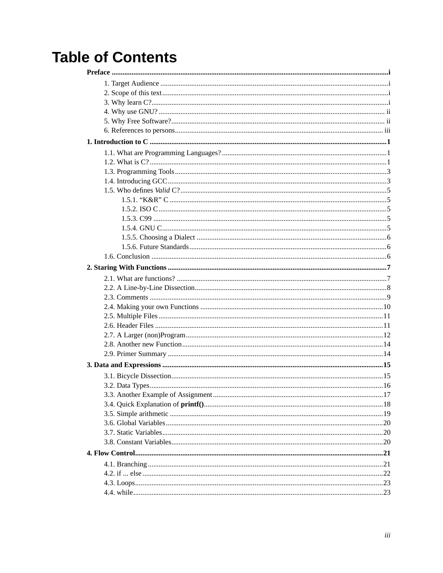# **Table of Contents**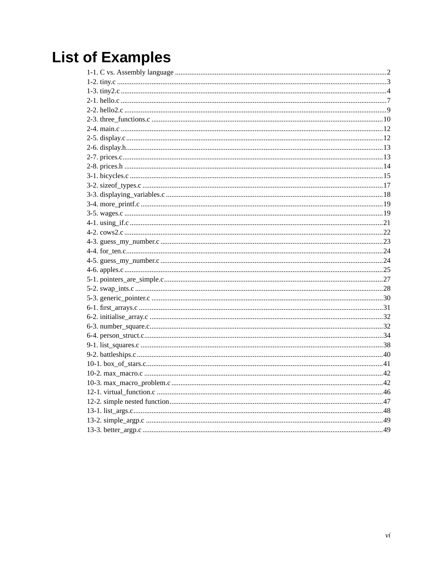# **List of Examples**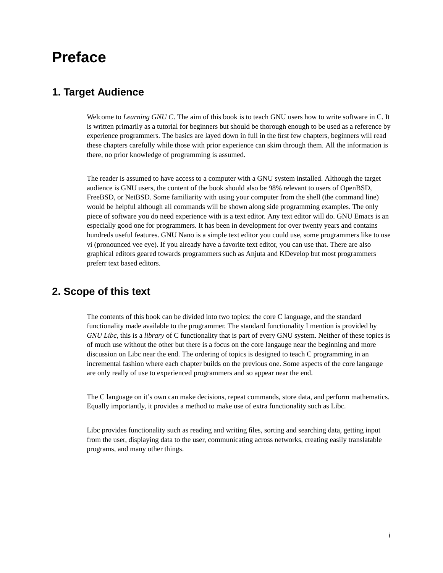## <span id="page-6-1"></span><span id="page-6-0"></span>**Preface**

### **1. Target Audience**

Welcome to *Learning GNU C*. The aim of this book is to teach GNU users how to write software in C. It is written primarily as a tutorial for beginners but should be thorough enough to be used as a reference by experience programmers. The basics are layed down in full in the first few chapters, beginners will read these chapters carefully while those with prior experience can skim through them. All the information is there, no prior knowledge of programming is assumed.

The reader is assumed to have access to a computer with a GNU system installed. Although the target audience is GNU users, the content of the book should also be 98% relevant to users of OpenBSD, FreeBSD, or NetBSD. Some familiarity with using your computer from the shell (the command line) would be helpful although all commands will be shown along side programming examples. The only piece of software you do need experience with is a text editor. Any text editor will do. GNU Emacs is an especially good one for programmers. It has been in development for over twenty years and contains hundreds useful features. GNU Nano is a simple text editor you could use, some programmers like to use vi (pronounced vee eye). If you already have a favorite text editor, you can use that. There are also graphical editors geared towards programmers such as Anjuta and KDevelop but most programmers preferr text based editors.

### <span id="page-6-2"></span>**2. Scope of this text**

The contents of this book can be divided into two topics: the core C language, and the standard functionality made available to the programmer. The standard functionality I mention is provided by *GNU Libc*, this is a *library* of C functionality that is part of every GNU system. Neither of these topics is of much use without the other but there is a focus on the core langauge near the beginning and more discussion on Libc near the end. The ordering of topics is designed to teach C programming in an incremental fashion where each chapter builds on the previous one. Some aspects of the core langauge are only really of use to experienced programmers and so appear near the end.

The C language on it's own can make decisions, repeat commands, store data, and perform mathematics. Equally importantly, it provides a method to make use of extra functionality such as Libc.

<span id="page-6-3"></span>Libc provides functionality such as reading and writing files, sorting and searching data, getting input from the user, displaying data to the user, communicating across networks, creating easily translatable programs, and many other things.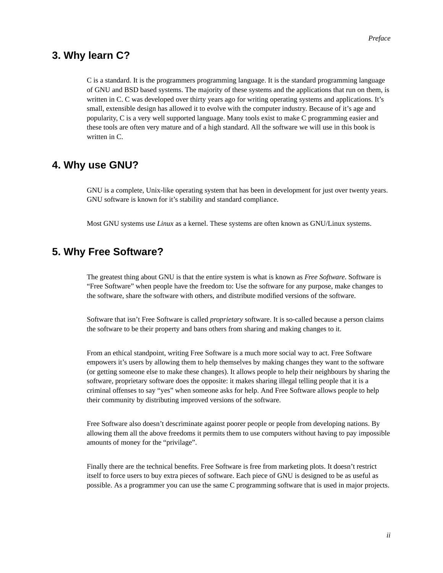### **3. Why learn C?**

C is a standard. It is the programmers programming language. It is the standard programming language of GNU and BSD based systems. The majority of these systems and the applications that run on them, is written in C. C was developed over thirty years ago for writing operating systems and applications. It's small, extensible design has allowed it to evolve with the computer industry. Because of it's age and popularity, C is a very well supported language. Many tools exist to make C programming easier and these tools are often very mature and of a high standard. All the software we will use in this book is written in C.

### <span id="page-7-0"></span>**4. Why use GNU?**

GNU is a complete, Unix-like operating system that has been in development for just over twenty years. GNU software is known for it's stability and standard compliance.

Most GNU systems use *Linux* as a kernel. These systems are often known as GNU/Linux systems.

### <span id="page-7-1"></span>**5. Why Free Software?**

The greatest thing about GNU is that the entire system is what is known as *Free Software*. Software is "Free Software" when people have the freedom to: Use the software for any purpose, make changes to the software, share the software with others, and distribute modified versions of the software.

Software that isn't Free Software is called *proprietary* software. It is so-called because a person claims the software to be their property and bans others from sharing and making changes to it.

From an ethical standpoint, writing Free Software is a much more social way to act. Free Software empowers it's users by allowing them to help themselves by making changes they want to the software (or getting someone else to make these changes). It allows people to help their neighbours by sharing the software, proprietary software does the opposite: it makes sharing illegal telling people that it is a criminal offenses to say "yes" when someone asks for help. And Free Software allows people to help their community by distributing improved versions of the software.

Free Software also doesn't descriminate against poorer people or people from developing nations. By allowing them all the above freedoms it permits them to use computers without having to pay impossible amounts of money for the "privilage".

Finally there are the technical benefits. Free Software is free from marketing plots. It doesn't restrict itself to force users to buy extra pieces of software. Each piece of GNU is designed to be as useful as possible. As a programmer you can use the same C programming software that is used in major projects.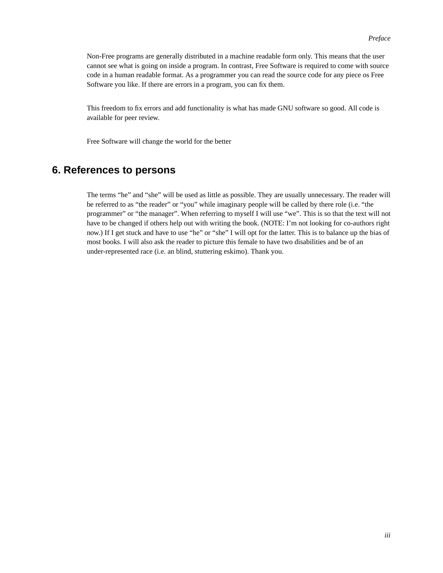Non-Free programs are generally distributed in a machine readable form only. This means that the user cannot see what is going on inside a program. In contrast, Free Software is required to come with source code in a human readable format. As a programmer you can read the source code for any piece os Free Software you like. If there are errors in a program, you can fix them.

This freedom to fix errors and add functionality is what has made GNU software so good. All code is available for peer review.

Free Software will change the world for the better

### <span id="page-8-0"></span>**6. References to persons**

The terms "he" and "she" will be used as little as possible. They are usually unnecessary. The reader will be referred to as "the reader" or "you" while imaginary people will be called by there role (i.e. "the programmer" or "the manager". When referring to myself I will use "we". This is so that the text will not have to be changed if others help out with writing the book. (NOTE: I'm not looking for co-authors right now.) If I get stuck and have to use "he" or "she" I will opt for the latter. This is to balance up the bias of most books. I will also ask the reader to picture this female to have two disabilities and be of an under-represented race (i.e. an blind, stuttering eskimo). Thank you.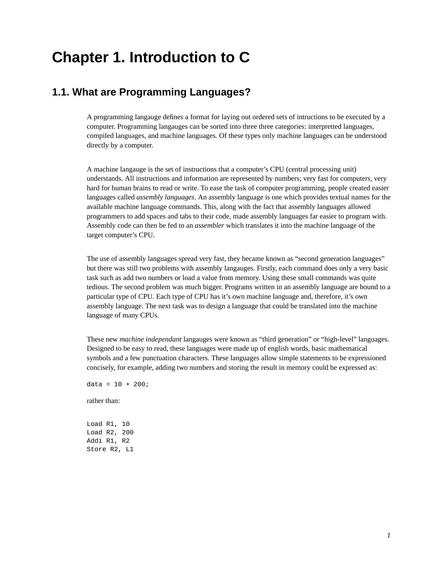# <span id="page-9-0"></span>**Chapter 1. Introduction to C**

### <span id="page-9-1"></span>**1.1. What are Programming Languages?**

A programming langauge defines a format for laying out ordered sets of intructions to be executed by a computer. Programming langauges can be sorted into three three categories: interpretted languages, compiled languages, and machine languages. Of these types only machine languages can be understood directly by a computer.

A machine langauge is the set of instructions that a computer's CPU (central processing unit) understands. All instructions and information are represented by numbers; very fast for computers, very hard for human brains to read or write. To ease the task of computer programming, people created easier languages called *assembly languages*. An assembly language is one which provides textual names for the available machine language commands. This, along with the fact that assembly languages allowed programmers to add spaces and tabs to their code, made assembly languages far easier to program with. Assembly code can then be fed to an *assembler* which translates it into the machine language of the target computer's CPU.

The use of assembly languages spread very fast, they became known as "second generation languages" but there was still two problems with assembly langauges. Firstly, each command does only a very basic task such as add two numbers or load a value from memory. Using these small commands was quite tedious. The second problem was much bigger. Programs written in an assembly language are bound to a particular type of CPU. Each type of CPU has it's own machine language and, therefore, it's own assembly language. The next task was to design a language that could be translated into the machine language of many CPUs.

These new *machine independant* langauges were known as "third generation" or "high-level" languages. Designed to be easy to read, these languages were made up of english words, basic mathematical symbols and a few punctuation characters. These languages allow simple statements to be expressioned concisely, for example, adding two numbers and storing the result in memory could be expressed as:

 $data = 10 + 200;$ 

rather than:

<span id="page-9-2"></span>Load R1, 10 Load R2, 200 Addi R1, R2 Store R2, L1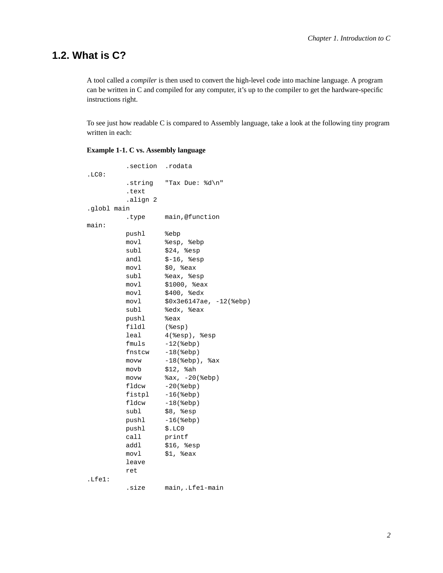### **1.2. What is C?**

A tool called a *compiler* is then used to convert the high-level code into machine language. A program can be written in C and compiled for any computer, it's up to the compiler to get the hardware-specific instructions right.

To see just how readable C is compared to Assembly language, take a look at the following tiny program written in each:

#### <span id="page-10-0"></span>**Example 1-1. C vs. Assembly language**

|             | section .rodata. |                               |
|-------------|------------------|-------------------------------|
| .LCO:       |                  |                               |
|             | string.          | "Tax Due: %d\n"               |
|             | .text            |                               |
|             | .align 2         |                               |
| .globl main |                  |                               |
|             | type.            | main,@function                |
| main:       |                  |                               |
|             | pushl            | %ebp                          |
|             | movl             | %esp, %ebp                    |
|             | subl             | \$24, %esp                    |
|             | andl             | $$-16, %esp$                  |
|             | movl             | $$0,$ $%$ eax                 |
|             | subl             | %eax, %esp                    |
|             | movl             | \$1000, %eax                  |
|             | movl             | \$400, %edx                   |
|             | movl             | $$0x3e6147ae, -12$ ( $8ebp$ ) |
|             | subl             | %edx, %eax                    |
|             | pushl            | %eax                          |
|             | fildl            | $(\$esp)$                     |
|             | leal             | $4$ (%esp), %esp              |
|             | fmuls            | $-12$ ( $\varepsilon$ ebp )   |
|             | fnstcw           | $-18$ ( $%$ ebp )             |
|             | movw             | $-18$ (%ebp), %ax             |
|             | movb             | $$12$ , $\$ah$                |
|             | movw             | $sax, -20$ ( $sebp$ )         |
|             | fldcw            | $-20$ ( $\varepsilon$ ebp)    |
|             | fistpl           | $-16$ ( $ebp$ )               |
|             | fldcw            | $-18$ ( $%$ ebp )             |
|             | subl             | $$8,$ $$esp$                  |
|             | pushl            | $-16$ ( $%$ ebp)              |
|             | pushl            | \$.LCO                        |
|             | call             | printf                        |
|             | addl             | \$16, \$esp                   |
|             | movl             | $$1,$ %eax                    |
|             | leave            |                               |
|             | ret              |                               |
| .Lfe1:      |                  |                               |
|             | size.            | main, .Lfel-main              |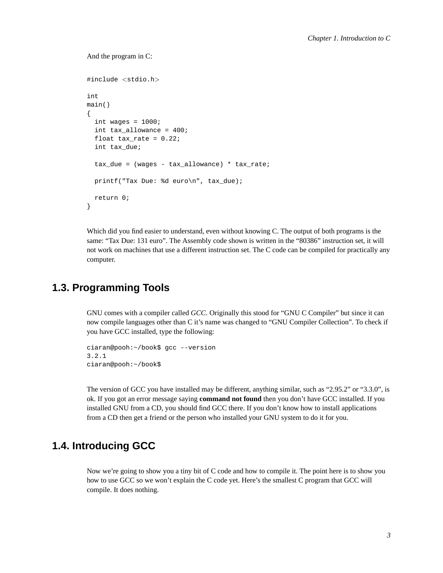#### And the program in C:

```
#include <stdio.h>
int
main()
{
  int wages = 1000;
  int tax_allowance = 400;
  float tax_rate = 0.22;
  int tax_due;
  tax_due = (waqes - tax_dilowance) * tax_rate;printf("Tax Due: %d euro\n", tax_due);
  return 0;
}
```
Which did you find easier to understand, even without knowing C. The output of both programs is the same: "Tax Due: 131 euro". The Assembly code shown is written in the "80386" instruction set, it will not work on machines that use a different instruction set. The C code can be compiled for practically any computer.

### <span id="page-11-0"></span>**1.3. Programming Tools**

GNU comes with a compiler called *GCC*. Originally this stood for "GNU C Compiler" but since it can now compile languages other than C it's name was changed to "GNU Compiler Collection". To check if you have GCC installed, type the following:

```
ciaran@pooh:~/book$ gcc --version
3.2.1
ciaran@pooh:~/book$
```
The version of GCC you have installed may be different, anything similar, such as "2.95.2" or "3.3.0", is ok. If you got an error message saying **command not found** then you don't have GCC installed. If you installed GNU from a CD, you should find GCC there. If you don't know how to install applications from a CD then get a friend or the person who installed your GNU system to do it for you.

### <span id="page-11-1"></span>**1.4. Introducing GCC**

<span id="page-11-2"></span>Now we're going to show you a tiny bit of C code and how to compile it. The point here is to show you how to use GCC so we won't explain the C code yet. Here's the smallest C program that GCC will compile. It does nothing.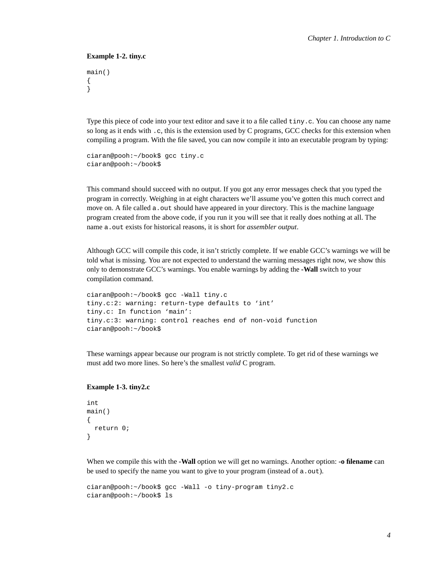#### **Example 1-2. tiny.c**

```
main()
{
}
```
Type this piece of code into your text editor and save it to a file called tiny.c. You can choose any name so long as it ends with . c, this is the extension used by C programs, GCC checks for this extension when compiling a program. With the file saved, you can now compile it into an executable program by typing:

```
ciaran@pooh:~/book$ gcc tiny.c
ciaran@pooh:~/book$
```
This command should succeed with no output. If you got any error messages check that you typed the program in correctly. Weighing in at eight characters we'll assume you've gotten this much correct and move on. A file called a.out should have appeared in your directory. This is the machine language program created from the above code, if you run it you will see that it really does nothing at all. The name a.out exists for historical reasons, it is short for *assembler output*.

Although GCC will compile this code, it isn't strictly complete. If we enable GCC's warnings we will be told what is missing. You are not expected to understand the warning messages right now, we show this only to demonstrate GCC's warnings. You enable warnings by adding the **-Wall** switch to your compilation command.

```
ciaran@pooh:~/book$ gcc -Wall tiny.c
tiny.c:2: warning: return-type defaults to 'int'
tiny.c: In function 'main':
tiny.c:3: warning: control reaches end of non-void function
ciaran@pooh:~/book$
```
<span id="page-12-0"></span>These warnings appear because our program is not strictly complete. To get rid of these warnings we must add two more lines. So here's the smallest *valid* C program.

#### **Example 1-3. tiny2.c**

```
int
main()
{
  return 0;
}
```
When we compile this with the **-Wall** option we will get no warnings. Another option: **-o filename** can be used to specify the name you want to give to your program (instead of a.out).

```
ciaran@pooh:~/book$ gcc -Wall -o tiny-program tiny2.c
ciaran@pooh:~/book$ ls
```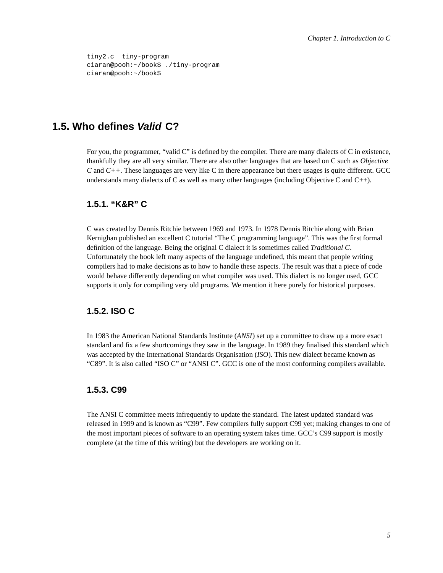```
tiny2.c tiny-program
ciaran@pooh:~/book$ ./tiny-program
ciaran@pooh:~/book$
```
### <span id="page-13-0"></span>**1.5. Who defines Valid C?**

For you, the programmer, "valid C" is defined by the compiler. There are many dialects of C in existence, thankfully they are all very similar. There are also other languages that are based on C such as *Objective C* and *C*++. These languages are very like *C* in there appearance but there usages is quite different. GCC understands many dialects of C as well as many other languages (including Objective C and  $C_{++}$ ).

### <span id="page-13-1"></span>**1.5.1. "K&R" C**

C was created by Dennis Ritchie between 1969 and 1973. In 1978 Dennis Ritchie along with Brian Kernighan published an excellent C tutorial "The C programming language". This was the first formal definition of the language. Being the original C dialect it is sometimes called *Traditional C*. Unfortunately the book left many aspects of the language undefined, this meant that people writing compilers had to make decisions as to how to handle these aspects. The result was that a piece of code would behave differently depending on what compiler was used. This dialect is no longer used, GCC supports it only for compiling very old programs. We mention it here purely for historical purposes.

#### <span id="page-13-2"></span>**1.5.2. ISO C**

In 1983 the American National Standards Institute (*ANSI*) set up a committee to draw up a more exact standard and fix a few shortcomings they saw in the language. In 1989 they finalised this standard which was accepted by the International Standards Organisation (*ISO*). This new dialect became known as "C89". It is also called "ISO C" or "ANSI C". GCC is one of the most conforming compilers available.

#### <span id="page-13-3"></span>**1.5.3. C99**

<span id="page-13-4"></span>The ANSI C committee meets infrequently to update the standard. The latest updated standard was released in 1999 and is known as "C99". Few compilers fully support C99 yet; making changes to one of the most important pieces of software to an operating system takes time. GCC's C99 support is mostly complete (at the time of this writing) but the developers are working on it.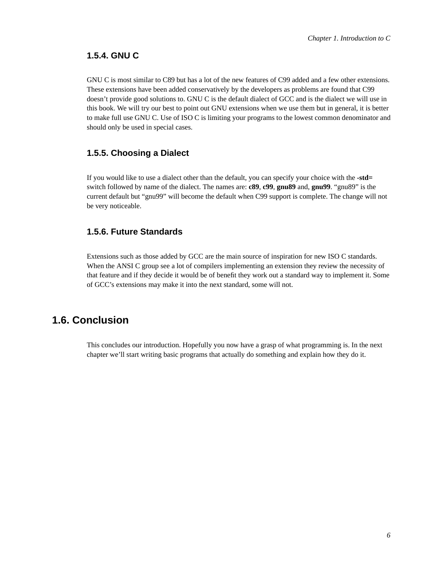#### **1.5.4. GNU C**

GNU C is most similar to C89 but has a lot of the new features of C99 added and a few other extensions. These extensions have been added conservatively by the developers as problems are found that C99 doesn't provide good solutions to. GNU C is the default dialect of GCC and is the dialect we will use in this book. We will try our best to point out GNU extensions when we use them but in general, it is better to make full use GNU C. Use of ISO C is limiting your programs to the lowest common denominator and should only be used in special cases.

#### <span id="page-14-0"></span>**1.5.5. Choosing a Dialect**

If you would like to use a dialect other than the default, you can specify your choice with the **-std=** switch followed by name of the dialect. The names are: **c89**, **c99**, **gnu89** and, **gnu99**. "gnu89" is the current default but "gnu99" will become the default when C99 support is complete. The change will not be very noticeable.

#### <span id="page-14-1"></span>**1.5.6. Future Standards**

Extensions such as those added by GCC are the main source of inspiration for new ISO C standards. When the ANSI C group see a lot of compilers implementing an extension they review the necessity of that feature and if they decide it would be of benefit they work out a standard way to implement it. Some of GCC's extensions may make it into the next standard, some will not.

### <span id="page-14-2"></span>**1.6. Conclusion**

This concludes our introduction. Hopefully you now have a grasp of what programming is. In the next chapter we'll start writing basic programs that actually do something and explain how they do it.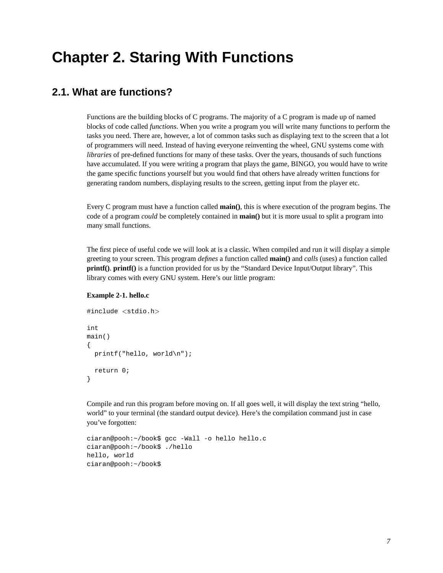# <span id="page-15-0"></span>**Chapter 2. Staring With Functions**

### <span id="page-15-1"></span>**2.1. What are functions?**

Functions are the building blocks of C programs. The majority of a C program is made up of named blocks of code called *functions*. When you write a program you will write many functions to perform the tasks you need. There are, however, a lot of common tasks such as displaying text to the screen that a lot of programmers will need. Instead of having everyone reinventing the wheel, GNU systems come with *libraries* of pre-defined functions for many of these tasks. Over the years, thousands of such functions have accumulated. If you were writing a program that plays the game, BINGO, you would have to write the game specific functions yourself but you would find that others have already written functions for generating random numbers, displaying results to the screen, getting input from the player etc.

Every C program must have a function called **main()**, this is where execution of the program begins. The code of a program *could* be completely contained in **main()** but it is more usual to split a program into many small functions.

The first piece of useful code we will look at is a classic. When compiled and run it will display a simple greeting to your screen. This program *defines* a function called **main()** and *calls* (uses) a function called **printf()**. **printf()** is a function provided for us by the "Standard Device Input/Output library". This library comes with every GNU system. Here's our little program:

#### <span id="page-15-3"></span>**Example 2-1. hello.c**

```
#include <stdio.h>
int
main()
{
  printf("hello, world\n");
 return 0;
}
```
Compile and run this program before moving on. If all goes well, it will display the text string "hello, world" to your terminal (the standard output device). Here's the compilation command just in case you've forgotten:

```
ciaran@pooh:~/book$ gcc -Wall -o hello hello.c
ciaran@pooh:~/book$ ./hello
hello, world
ciaran@pooh:~/book$
```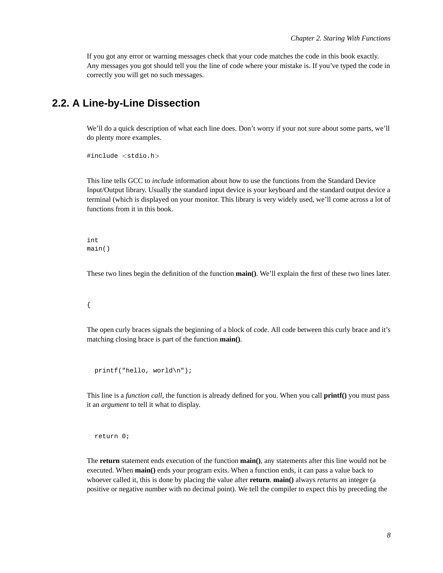If you got any error or warning messages check that your code matches the code in this book exactly. Any messages you got should tell you the line of code where your mistake is. If you've typed the code in correctly you will get no such messages.

### **2.2. A Line-by-Line Dissection**

We'll do a quick description of what each line does. Don't worry if your not sure about some parts, we'll do plenty more examples.

```
#include <stdio.h>
```
This line tells GCC to *include* information about how to use the functions from the Standard Device Input/Output library. Usually the standard input device is your keyboard and the standard output device a terminal (which is displayed on your monitor. This library is very widely used, we'll come across a lot of functions from it in this book.

```
int
main()
```
These two lines begin the definition of the function **main()**. We'll explain the first of these two lines later.

```
{
```
The open curly braces signals the beginning of a block of code. All code between this curly brace and it's matching closing brace is part of the function **main()**.

```
printf("hello, world\n");
```
This line is a *function call*, the function is already defined for you. When you call **printf()** you must pass it an *argument* to tell it what to display.

return 0;

The **return** statement ends execution of the function **main()**, any statements after this line would not be executed. When **main()** ends your program exits. When a function ends, it can pass a value back to whoever called it, this is done by placing the value after **return**. **main()** always *returns* an integer (a positive or negative number with no decimal point). We tell the compiler to expect this by preceding the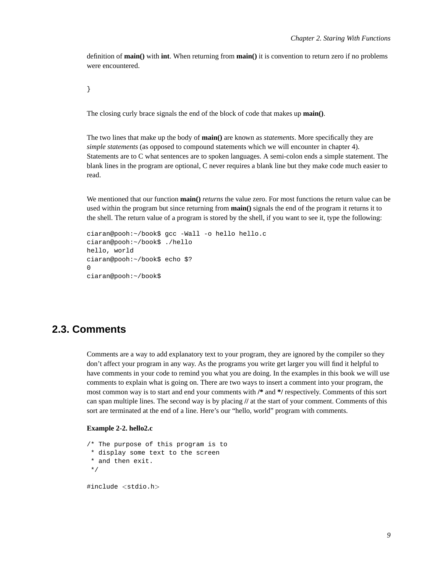definition of **main()** with **int**. When returning from **main()** it is convention to return zero if no problems were encountered.

}

The closing curly brace signals the end of the block of code that makes up **main()**.

The two lines that make up the body of **main()** are known as *statements*. More specifically they are *simple statements* (as opposed to compound statements which we will encounter in chapter 4). Statements are to C what sentences are to spoken languages. A semi-colon ends a simple statement. The blank lines in the program are optional, C never requires a blank line but they make code much easier to read.

We mentioned that our function **main**() *returns* the value zero. For most functions the return value can be used within the program but since returning from **main()** signals the end of the program it returns it to the shell. The return value of a program is stored by the shell, if you want to see it, type the following:

```
ciaran@pooh:~/book$ gcc -Wall -o hello hello.c
ciaran@pooh:~/book$ ./hello
hello, world
ciaran@pooh:~/book$ echo $?
\Omegaciaran@pooh:~/book$
```
### <span id="page-17-0"></span>**2.3. Comments**

Comments are a way to add explanatory text to your program, they are ignored by the compiler so they don't affect your program in any way. As the programs you write get larger you will find it helpful to have comments in your code to remind you what you are doing. In the examples in this book we will use comments to explain what is going on. There are two ways to insert a comment into your program, the most common way is to start and end your comments with **/\*** and **\*/** respectively. Comments of this sort can span multiple lines. The second way is by placing **//** at the start of your comment. Comments of this sort are terminated at the end of a line. Here's our "hello, world" program with comments.

#### <span id="page-17-1"></span>**Example 2-2. hello2.c**

```
/* The purpose of this program is to
* display some text to the screen
 * and then exit.
*/
```
#include <stdio.h>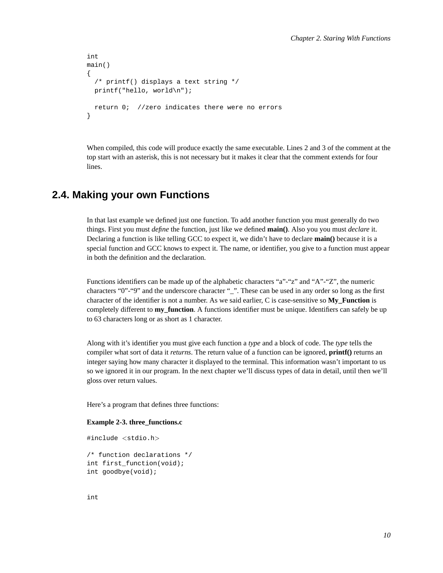```
int
main()
{
  /* printf() displays a text string */
  printf("hello, world\n");
  return 0; //zero indicates there were no errors
}
```
When compiled, this code will produce exactly the same executable. Lines 2 and 3 of the comment at the top start with an asterisk, this is not necessary but it makes it clear that the comment extends for four lines.

### <span id="page-18-0"></span>**2.4. Making your own Functions**

In that last example we defined just one function. To add another function you must generally do two things. First you must *define* the function, just like we defined **main()**. Also you you must *declare* it. Declaring a function is like telling GCC to expect it, we didn't have to declare **main()** because it is a special function and GCC knows to expect it. The name, or identifier, you give to a function must appear in both the definition and the declaration.

Functions identifiers can be made up of the alphabetic characters "a"-"z" and "A"-"Z", the numeric characters "0"-"9" and the underscore character "\_". These can be used in any order so long as the first character of the identifier is not a number. As we said earlier, C is case-sensitive so **My\_Function** is completely different to **my** function. A functions identifier must be unique. Identifiers can safely be up to 63 characters long or as short as 1 character.

Along with it's identifier you must give each function a *type* and a block of code. The *type* tells the compiler what sort of data it *returns*. The return value of a function can be ignored, **printf()** returns an integer saying how many character it displayed to the terminal. This information wasn't important to us so we ignored it in our program. In the next chapter we'll discuss types of data in detail, until then we'll gloss over return values.

Here's a program that defines three functions:

#### <span id="page-18-1"></span>**Example 2-3. three\_functions.c**

```
#include <stdio.h>
/* function declarations */
int first_function(void);
int goodbye(void);
```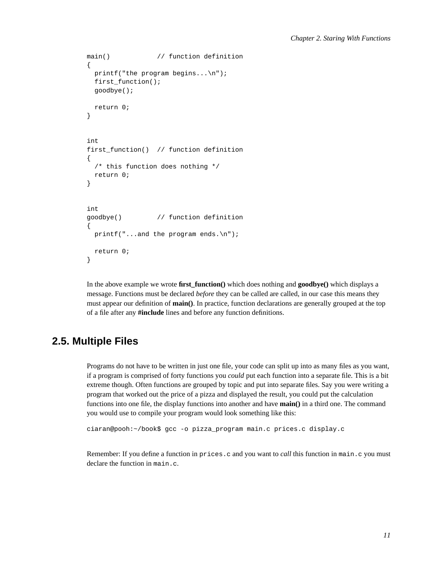```
main() \frac{1}{2} function definition
{
 printf("the program begins...\n");
  first_function();
  goodbye();
  return 0;
}
int
first_function() // function definition
{
  /* this function does nothing */
 return 0;
}
int
goodbye() // function definition
{
  printf("...and the program ends.\n \n \frac{\n \alpha}{\n \alpha}return 0;
}
```
In the above example we wrote **first\_function()** which does nothing and **goodbye()** which displays a message. Functions must be declared *before* they can be called are called, in our case this means they must appear our definition of **main()**. In practice, function declarations are generally grouped at the top of a file after any **#include** lines and before any function definitions.

### <span id="page-19-0"></span>**2.5. Multiple Files**

Programs do not have to be written in just one file, your code can split up into as many files as you want, if a program is comprised of forty functions you *could* put each function into a separate file. This is a bit extreme though. Often functions are grouped by topic and put into separate files. Say you were writing a program that worked out the price of a pizza and displayed the result, you could put the calculation functions into one file, the display functions into another and have **main()** in a third one. The command you would use to compile your program would look something like this:

ciaran@pooh:~/book\$ gcc -o pizza\_program main.c prices.c display.c

<span id="page-19-1"></span>Remember: If you define a function in prices.c and you want to *call* this function in main.c you must declare the function in main.c.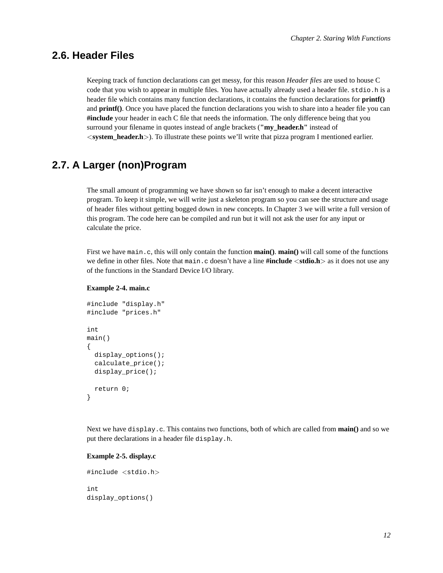### **2.6. Header Files**

Keeping track of function declarations can get messy, for this reason *Header files* are used to house C code that you wish to appear in multiple files. You have actually already used a header file. stdio.h is a header file which contains many function declarations, it contains the function declarations for **printf()** and **printf()**. Once you have placed the function declarations you wish to share into a header file you can **#include** your header in each C file that needs the information. The only difference being that you surround your filename in quotes instead of angle brackets (**"my\_header.h"** instead of <**system\_header.h**>). To illustrate these points we'll write that pizza program I mentioned earlier.

### <span id="page-20-0"></span>**2.7. A Larger (non)Program**

The small amount of programming we have shown so far isn't enough to make a decent interactive program. To keep it simple, we will write just a skeleton program so you can see the structure and usage of header files without getting bogged down in new concepts. In Chapter 3 we will write a full version of this program. The code here can be compiled and run but it will not ask the user for any input or calculate the price.

First we have main.c, this will only contain the function **main()**. **main()** will call some of the functions we define in other files. Note that main.c doesn't have a line **#include** <**stdio.h**> as it does not use any of the functions in the Standard Device I/O library.

#### <span id="page-20-1"></span>**Example 2-4. main.c**

```
#include "display.h"
#include "prices.h"
int
main()
{
  display_options();
  calculate_price();
  display_price();
  return 0;
}
```
Next we have display.c. This contains two functions, both of which are called from **main()** and so we put there declarations in a header file display.h.

#### <span id="page-20-2"></span>**Example 2-5. display.c**

```
#include <stdio.h>
int
display_options()
```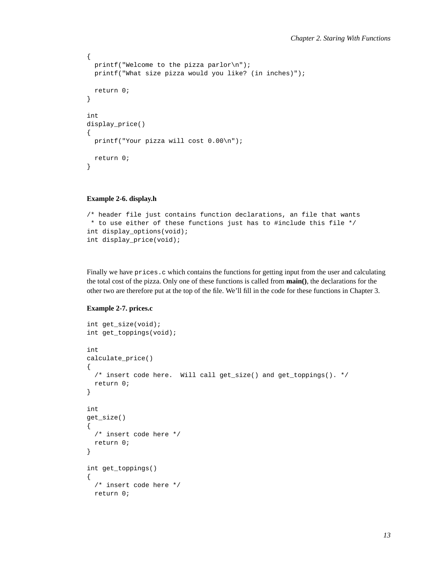```
{
 printf("Welcome to the pizza parlor\n");
 printf("What size pizza would you like? (in inches)");
 return 0;
}
int
display_price()
{
  printf("Your pizza will cost 0.00\n");
 return 0;
}
```
#### <span id="page-21-0"></span>**Example 2-6. display.h**

```
/* header file just contains function declarations, an file that wants
* to use either of these functions just has to #include this file */
int display_options(void);
int display_price(void);
```
Finally we have prices.c which contains the functions for getting input from the user and calculating the total cost of the pizza. Only one of these functions is called from **main()**, the declarations for the other two are therefore put at the top of the file. We'll fill in the code for these functions in Chapter 3.

#### <span id="page-21-1"></span>**Example 2-7. prices.c**

```
int get_size(void);
int get_toppings(void);
int
calculate_price()
{
  /* insert code here. Will call get_size() and get_toppings(). */
 return 0;
}
int
get_size()
{
  /* insert code here */
 return 0;
}
int get_toppings()
{
  /* insert code here */
 return 0;
```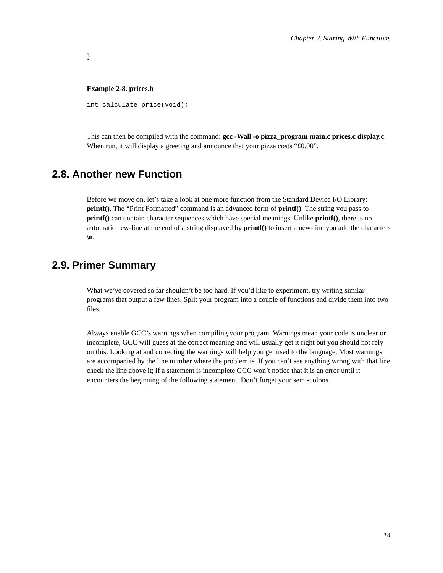#### **Example 2-8. prices.h**

<span id="page-22-2"></span>}

int calculate\_price(void);

This can then be compiled with the command: **gcc -Wall -o pizza\_program main.c prices.c display.c**. When run, it will display a greeting and announce that your pizza costs "£0.00".

### <span id="page-22-0"></span>**2.8. Another new Function**

Before we move on, let's take a look at one more function from the Standard Device I/O Library: **printf()**. The "Print Formatted" command is an advanced form of **printf()**. The string you pass to **printf()** can contain character sequences which have special meanings. Unlike **printf()**, there is no automatic new-line at the end of a string displayed by **printf()** to insert a new-line you add the characters **\n**.

### <span id="page-22-1"></span>**2.9. Primer Summary**

What we've covered so far shouldn't be too hard. If you'd like to experiment, try writing similar programs that output a few lines. Split your program into a couple of functions and divide them into two files.

Always enable GCC's warnings when compiling your program. Warnings mean your code is unclear or incomplete, GCC will guess at the correct meaning and will usually get it right but you should not rely on this. Looking at and correcting the warnings will help you get used to the language. Most warnings are accompanied by the line number where the problem is. If you can't see anything wrong with that line check the line above it; if a statement is incomplete GCC won't notice that it is an error until it encounters the beginning of the following statement. Don't forget your semi-colons.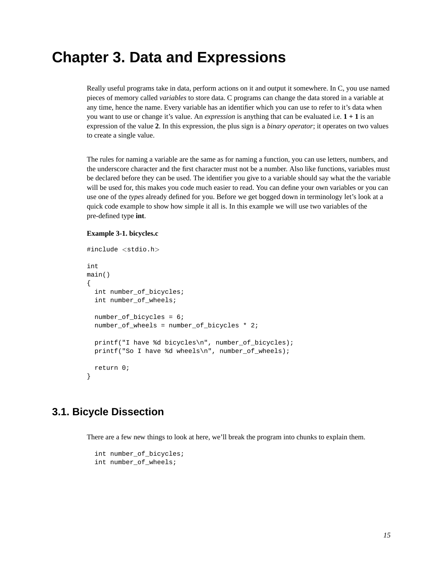# <span id="page-23-0"></span>**Chapter 3. Data and Expressions**

Really useful programs take in data, perform actions on it and output it somewhere. In C, you use named pieces of memory called *variables* to store data. C programs can change the data stored in a variable at any time, hence the name. Every variable has an identifier which you can use to refer to it's data when you want to use or change it's value. An *expression* is anything that can be evaluated i.e. **1 + 1** is an expression of the value **2**. In this expression, the plus sign is a *binary operator*; it operates on two values to create a single value.

The rules for naming a variable are the same as for naming a function, you can use letters, numbers, and the underscore character and the first character must not be a number. Also like functions, variables must be declared before they can be used. The identifier you give to a variable should say what the the variable will be used for, this makes you code much easier to read. You can define your own variables or you can use one of the *types* already defined for you. Before we get bogged down in terminology let's look at a quick code example to show how simple it all is. In this example we will use two variables of the pre-defined type **int**.

#### <span id="page-23-2"></span>**Example 3-1. bicycles.c**

```
#include <stdio.h>
int
main()
{
  int number_of_bicycles;
  int number of wheels;
  number_of_bicycles = 6;
  number_of_wheels = number_of_bicycles * 2;
  printf("I have %d bicycles\n", number_of_bicycles);
  printf("So I have %d wheels\n", number_of_wheels);
  return 0;
}
```
### <span id="page-23-1"></span>**3.1. Bicycle Dissection**

There are a few new things to look at here, we'll break the program into chunks to explain them.

```
int number_of_bicycles;
int number of wheels;
```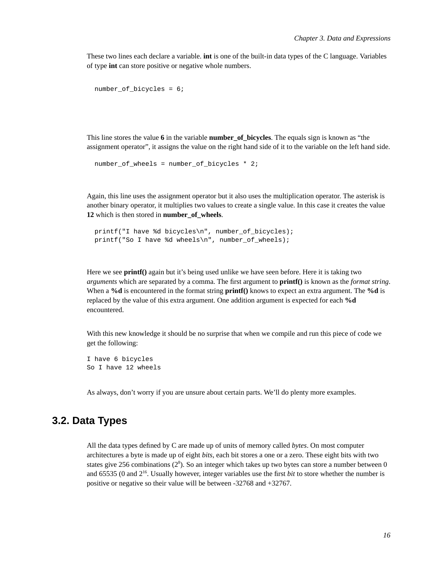These two lines each declare a variable. **int** is one of the built-in data types of the C language. Variables of type **int** can store positive or negative whole numbers.

```
number_of_bicycles = 6;
```
This line stores the value  $\bf{6}$  in the variable **number** of **bicycles**. The equals sign is known as "the assignment operator", it assigns the value on the right hand side of it to the variable on the left hand side.

```
number_of_wheels = number_of_bicycles * 2;
```
Again, this line uses the assignment operator but it also uses the multiplication operator. The asterisk is another binary operator, it multiplies two values to create a single value. In this case it creates the value **12** which is then stored in **number\_of\_wheels**.

```
printf("I have %d bicycles\n", number of bicycles);
printf("So I have %d wheels\n", number_of_wheels);
```
Here we see **printf()** again but it's being used unlike we have seen before. Here it is taking two *arguments* which are separated by a comma. The first argument to **printf()** is known as the *format string*. When a **%d** is encountered in the format string **printf()** knows to expect an extra argument. The **%d** is replaced by the value of this extra argument. One addition argument is expected for each **%d** encountered.

With this new knowledge it should be no surprise that when we compile and run this piece of code we get the following:

```
I have 6 bicycles
So I have 12 wheels
```
As always, don't worry if you are unsure about certain parts. We'll do plenty more examples.

### <span id="page-24-0"></span>**3.2. Data Types**

All the data types defined by C are made up of units of memory called *bytes*. On most computer architectures a byte is made up of eight *bits*, each bit stores a one or a zero. These eight bits with two states give 256 combinations  $(2^8)$ . So an integer which takes up two bytes can store a number between 0 and 65535 (0 and  $2^{16}$ . Usually however, integer variables use the first *bit* to store whether the number is positive or negative so their value will be between -32768 and +32767.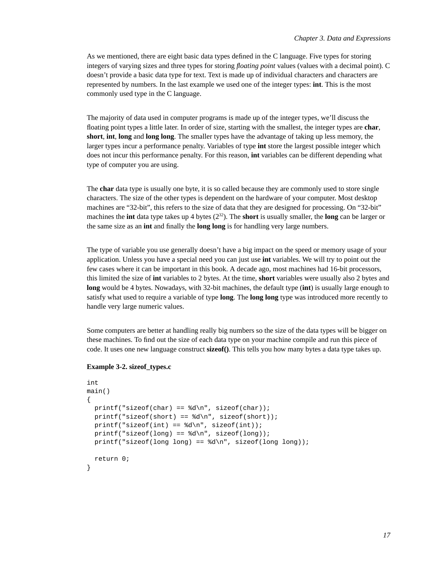As we mentioned, there are eight basic data types defined in the C language. Five types for storing integers of varying sizes and three types for storing *floating point* values (values with a decimal point). C doesn't provide a basic data type for text. Text is made up of individual characters and characters are represented by numbers. In the last example we used one of the integer types: **int**. This is the most commonly used type in the C language.

The majority of data used in computer programs is made up of the integer types, we'll discuss the floating point types a little later. In order of size, starting with the smallest, the integer types are **char**, **short**, **int**, **long** and **long long**. The smaller types have the advantage of taking up less memory, the larger types incur a performance penalty. Variables of type **int** store the largest possible integer which does not incur this performance penalty. For this reason, **int** variables can be different depending what type of computer you are using.

The **char** data type is usually one byte, it is so called because they are commonly used to store single characters. The size of the other types is dependent on the hardware of your computer. Most desktop machines are "32-bit", this refers to the size of data that they are designed for processing. On "32-bit" machines the **int** data type takes up 4 bytes  $(2<sup>32</sup>)$ . The **short** is usually smaller, the **long** can be larger or the same size as an **int** and finally the **long long** is for handling very large numbers.

The type of variable you use generally doesn't have a big impact on the speed or memory usage of your application. Unless you have a special need you can just use **int** variables. We will try to point out the few cases where it can be important in this book. A decade ago, most machines had 16-bit processors, this limited the size of **int** variables to 2 bytes. At the time, **short** variables were usually also 2 bytes and **long** would be 4 bytes. Nowadays, with 32-bit machines, the default type (**int**) is usually large enough to satisfy what used to require a variable of type **long**. The **long long** type was introduced more recently to handle very large numeric values.

Some computers are better at handling really big numbers so the size of the data types will be bigger on these machines. To find out the size of each data type on your machine compile and run this piece of code. It uses one new language construct **sizeof()**. This tells you how many bytes a data type takes up.

#### <span id="page-25-1"></span>**Example 3-2. sizeof\_types.c**

```
int
main()
{
  printf("sizeof(char) == d\n\alpha", sizeof(char));
  printf("sizeof(short) == d\n\in, sizeof(short));
  printf("sizeof(int) == d\n\in, sizeof(int));
  printf("sizeof(long) == d\n\alpha", sizeof(long));
 printf("sizeof(long long) == d\n", sizeof(long long));
  return 0;
}
```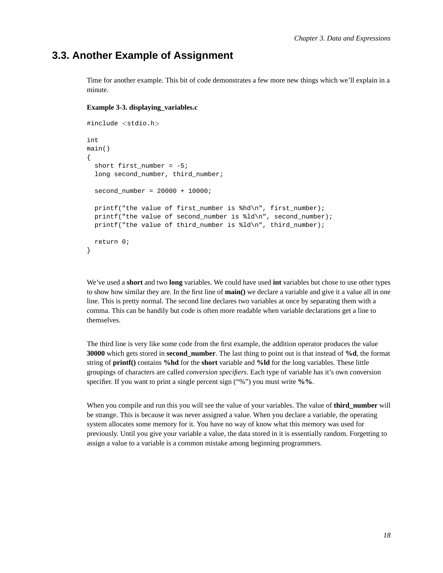### **3.3. Another Example of Assignment**

Time for another example. This bit of code demonstrates a few more new things which we'll explain in a minute.

#### <span id="page-26-1"></span>**Example 3-3. displaying\_variables.c**

```
#include <stdio.h>
int
main()
{
  short first number = -5;
  long second_number, third_number;
  second number = 20000 + 10000;
 printf("the value of first number is \hbar d\n", first number);
 printf("the value of second_number is %ld\n", second_number);
 printf("the value of third_number is %ld\n", third_number);
  return 0;
}
```
We've used a **short** and two **long** variables. We could have used **int** variables but chose to use other types to show how similar they are. In the first line of **main()** we declare a variable and give it a value all in one line. This is pretty normal. The second line declares two variables at once by separating them with a comma. This can be handily but code is often more readable when variable declarations get a line to themselves.

The third line is very like some code from the first example, the addition operator produces the value **30000** which gets stored in **second\_number**. The last thing to point out is that instead of **%d**, the format string of **printf()** contains **%hd** for the **short** variable and **%ld** for the long variables. These little groupings of characters are called *conversion specifiers*. Each type of variable has it's own conversion specifier. If you want to print a single percent sign ("%") you must write **%%**.

<span id="page-26-0"></span>When you compile and run this you will see the value of your variables. The value of **third\_number** will be strange. This is because it was never assigned a value. When you declare a variable, the operating system allocates some memory for it. You have no way of know what this memory was used for previously. Until you give your variable a value, the data stored in it is essentially random. Forgetting to assign a value to a variable is a common mistake among beginning programmers.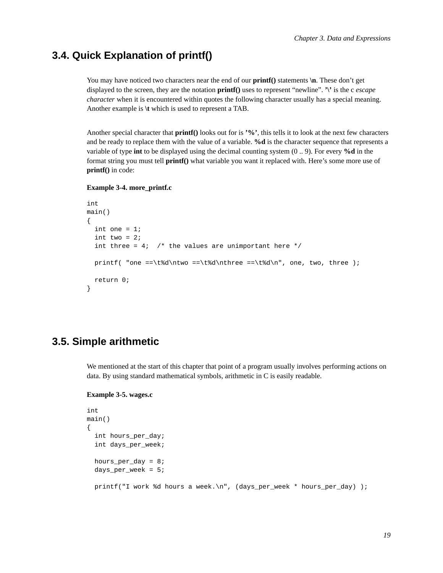### **3.4. Quick Explanation of printf()**

You may have noticed two characters near the end of our **printf**() statements  $\ln$ . These don't get displayed to the screen, they are the notation **printf()** uses to represent "newline". **'\'** is the c *escape character* when it is encountered within quotes the following character usually has a special meaning. Another example is **\t** which is used to represent a TAB.

Another special character that **printf()** looks out for is **'%'**, this tells it to look at the next few characters and be ready to replace them with the value of a variable. **%d** is the character sequence that represents a variable of type **int** to be displayed using the decimal counting system (0 .. 9). For every **%d** in the format string you must tell **printf()** what variable you want it replaced with. Here's some more use of **printf()** in code:

#### <span id="page-27-1"></span>**Example 3-4. more\_printf.c**

```
int
main()
{
  int one = 1;
  int two = 2iint three = 4; /* the values are unimportant here */
  printf( "one ==\t%d\ntwo ==\t%d\nthree ==\t%d\n", one, two, three );
  return 0;
}
```
### <span id="page-27-0"></span>**3.5. Simple arithmetic**

<span id="page-27-2"></span>We mentioned at the start of this chapter that point of a program usually involves performing actions on data. By using standard mathematical symbols, arithmetic in C is easily readable.

#### **Example 3-5. wages.c**

```
int
main()
{
  int hours_per_day;
  int days_per_week;
 hours_per_day = 8;
  days per week = 5;printf("I work %d hours a week.\n", (days_per_week * hours_per_day) );
```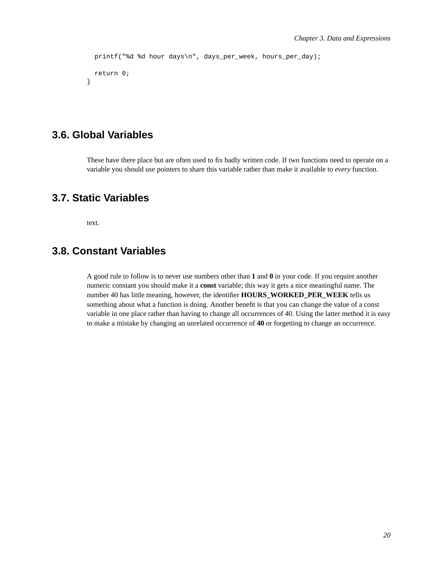```
printf("%d %d hour days\n", days_per_week, hours_per_day);
 return 0;
}
```
### <span id="page-28-0"></span>**3.6. Global Variables**

These have there place but are often used to fix badly written code. If two functions need to operate on a variable you should use pointers to share this variable rather than make it available to *every* function.

### <span id="page-28-1"></span>**3.7. Static Variables**

text.

### <span id="page-28-2"></span>**3.8. Constant Variables**

A good rule to follow is to never use numbers other than **1** and **0** in your code. If you require another numeric constant you should make it a **const** variable; this way it gets a nice meaningful name. The number 40 has little meaning, however, the identifier **HOURS\_WORKED\_PER\_WEEK** tells us something about what a function is doing. Another benefit is that you can change the value of a const variable in one place rather than having to change all occurrences of 40. Using the latter method it is easy to make a mistake by changing an unrelated occurrence of **40** or forgetting to change an occurrence.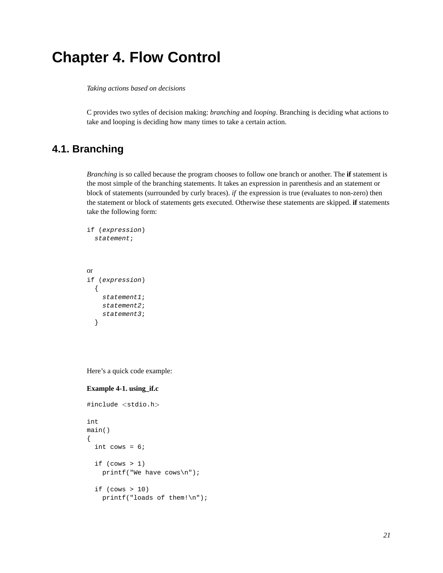# <span id="page-29-0"></span>**Chapter 4. Flow Control**

*Taking actions based on decisions*

C provides two sytles of decision making: *branching* and *looping*. Branching is deciding what actions to take and looping is deciding how many times to take a certain action.

### <span id="page-29-1"></span>**4.1. Branching**

*Branching* is so called because the program chooses to follow one branch or another. The **if** statement is the most simple of the branching statements. It takes an expression in parenthesis and an statement or block of statements (surrounded by curly braces). *if* the expression is true (evaluates to non-zero) then the statement or block of statements gets executed. Otherwise these statements are skipped. **if** statements take the following form:

```
if (expression)
  statement;
or
if (expression)
  {
    statement1;
    statement2;
    statement3;
  }
```
<span id="page-29-2"></span>Here's a quick code example:

#### **Example 4-1. using\_if.c**

```
#include <stdio.h>
int
main()
{
  int cows = 6;
  if (cows > 1)
    printf("We have cows\n");
  if (cows > 10)printf("loads of them!\n");
```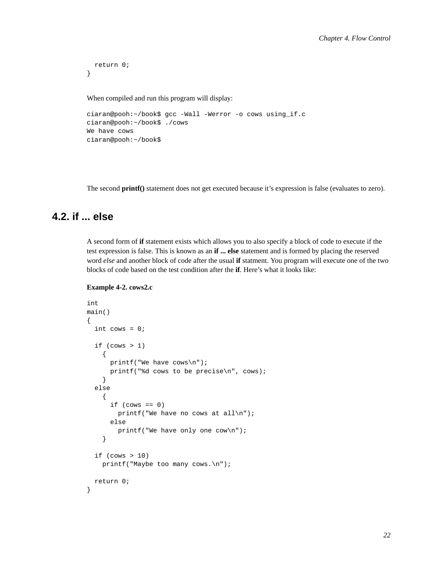```
return 0;
```
}

When compiled and run this program will display:

```
ciaran@pooh:~/book$ gcc -Wall -Werror -o cows using_if.c
ciaran@pooh:~/book$ ./cows
We have cows
ciaran@pooh:~/book$
```
The second **printf()** statement does not get executed because it's expression is false (evaluates to zero).

### <span id="page-30-0"></span>**4.2. if ... else**

A second form of **if** statement exists which allows you to also specify a block of code to execute if the test expression is false. This is known as an **if ... else** statement and is formed by placing the reserved word *else* and another block of code after the usual **if** statment. You program will execute one of the two blocks of code based on the test condition after the **if**. Here's what it looks like:

#### <span id="page-30-1"></span>**Example 4-2. cows2.c**

```
int
main()
{
  int cows = 0;
  if (cows > 1){
      printf("We have cows\n");
      printf("%d cows to be precise\n", cows);
    }
  else
    {
      if (cows == 0)printf("We have no cows at all\n");
      else
        printf("We have only one cow\n");
    }
  if (cows > 10)printf("Maybe too many cows.\n");
  return 0;
}
```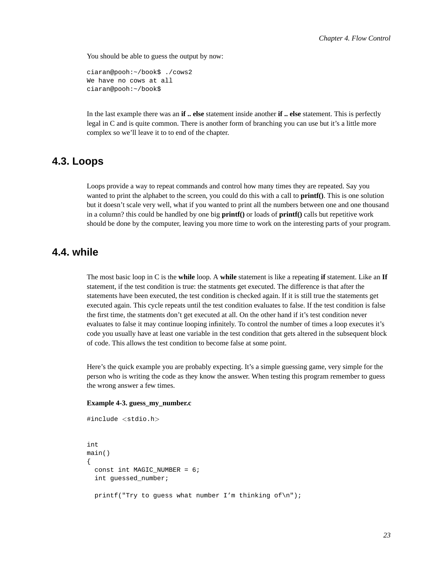You should be able to guess the output by now:

```
ciaran@pooh:~/book$ ./cows2
We have no cows at all
ciaran@pooh:~/book$
```
In the last example there was an **if .. else** statement inside another **if .. else** statement. This is perfectly legal in C and is quite common. There is another form of branching you can use but it's a little more complex so we'll leave it to to end of the chapter.

### <span id="page-31-0"></span>**4.3. Loops**

Loops provide a way to repeat commands and control how many times they are repeated. Say you wanted to print the alphabet to the screen, you could do this with a call to **printf()**. This is one solution but it doesn't scale very well, what if you wanted to print all the numbers between one and one thousand in a column? this could be handled by one big **printf()** or loads of **printf()** calls but repetitive work should be done by the computer, leaving you more time to work on the interesting parts of your program.

### <span id="page-31-1"></span>**4.4. while**

The most basic loop in C is the **while** loop. A **while** statement is like a repeating **if** statement. Like an **If** statement, if the test condition is true: the statments get executed. The difference is that after the statements have been executed, the test condition is checked again. If it is still true the statements get executed again. This cycle repeats until the test condition evaluates to false. If the test condition is false the first time, the statments don't get executed at all. On the other hand if it's test condition never evaluates to false it may continue looping infinitely. To control the number of times a loop executes it's code you usually have at least one variable in the test condition that gets altered in the subsequent block of code. This allows the test condition to become false at some point.

Here's the quick example you are probably expecting. It's a simple guessing game, very simple for the person who is writing the code as they know the answer. When testing this program remember to guess the wrong answer a few times.

#### <span id="page-31-2"></span>**Example 4-3. guess\_my\_number.c**

#include <stdio.h>

```
int
main()
{
  const int MAGIC_NUMBER = 6;
  int guessed_number;
 printf("Try to guess what number I'm thinking of\n");
```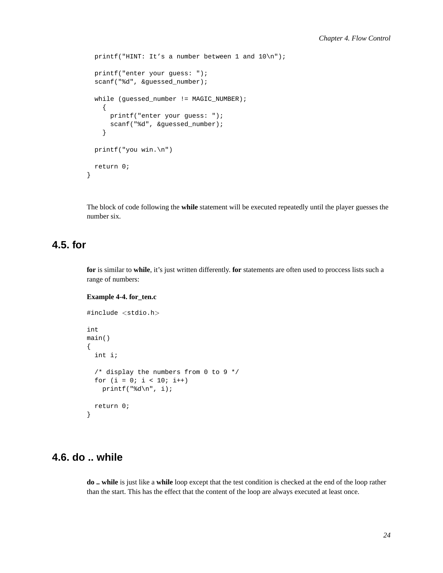```
printf("HINT: It's a number between 1 and 10\n");
printf("enter your guess: ");
scanf("%d", &guessed_number);
while (quessed_number != MAGIC_NUMBER);
  {
    printf("enter your guess: ");
    scanf("%d", &guessed_number);
  }
printf("you win.\n")
return 0;
```
The block of code following the **while** statement will be executed repeatedly until the player guesses the number six.

### <span id="page-32-0"></span>**4.5. for**

}

**for** is similar to **while**, it's just written differently. **for** statements are often used to proccess lists such a range of numbers:

#### <span id="page-32-2"></span>**Example 4-4. for\_ten.c**

```
#include <stdio.h>
int
main()
{
  int i;
  /* display the numbers from 0 to 9 */
  for (i = 0; i < 10; i++)printf("%d\n", i);
  return 0;
}
```
### <span id="page-32-1"></span>**4.6. do .. while**

<span id="page-32-3"></span>**do .. while** is just like a **while** loop except that the test condition is checked at the end of the loop rather than the start. This has the effect that the content of the loop are always executed at least once.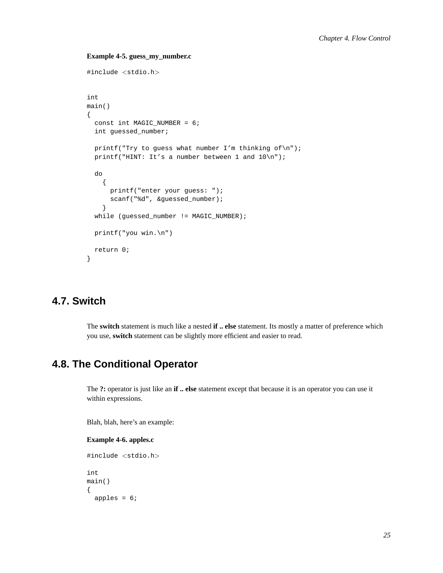#### **Example 4-5. guess\_my\_number.c**

```
#include <stdio.h>
int
main()
{
  const int MAGIC_NUMBER = 6;
  int guessed_number;
  printf("Try to guess what number I'm thinking of\ln");
  printf("HINT: It's a number between 1 and 10\n");
  do
    {
      printf("enter your guess: ");
      scanf("%d", &guessed_number);
    }
  while (guessed_number != MAGIC_NUMBER);
  printf("you win.\n")
  return 0;
}
```
### <span id="page-33-0"></span>**4.7. Switch**

The **switch** statement is much like a nested **if .. else** statement. Its mostly a matter of preference which you use, **switch** statement can be slightly more efficient and easier to read.

### <span id="page-33-1"></span>**4.8. The Conditional Operator**

The **?:** operator is just like an **if .. else** statement except that because it is an operator you can use it within expressions.

<span id="page-33-2"></span>Blah, blah, here's an example:

#### **Example 4-6. apples.c**

```
#include <stdio.h>
int
main()
{
  apples = 6;
```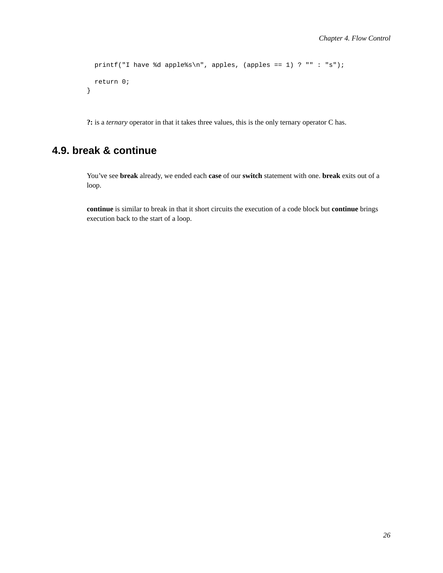```
printf("I have %d apple%s\n", apples, (apples == 1) ? "" : "s");
 return 0;
}
```
**?:** is a *ternary* operator in that it takes three values, this is the only ternary operator C has.

### <span id="page-34-0"></span>**4.9. break & continue**

You've see **break** already, we ended each **case** of our **switch** statement with one. **break** exits out of a loop.

**continue** is similar to break in that it short circuits the execution of a code block but **continue** brings execution back to the start of a loop.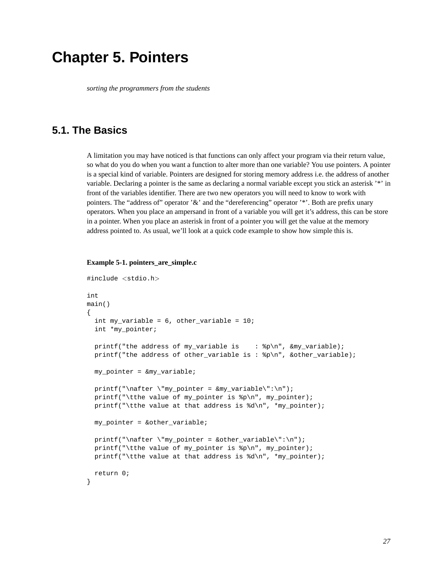## <span id="page-35-0"></span>**Chapter 5. Pointers**

*sorting the programmers from the students*

### <span id="page-35-1"></span>**5.1. The Basics**

A limitation you may have noticed is that functions can only affect your program via their return value, so what do you do when you want a function to alter more than one variable? You use pointers. A pointer is a special kind of variable. Pointers are designed for storing memory address i.e. the address of another variable. Declaring a pointer is the same as declaring a normal variable except you stick an asterisk '\*' in front of the variables identifier. There are two new operators you will need to know to work with pointers. The "address of" operator '&' and the "dereferencing" operator '\*'. Both are prefix unary operators. When you place an ampersand in front of a variable you will get it's address, this can be store in a pointer. When you place an asterisk in front of a pointer you will get the value at the memory address pointed to. As usual, we'll look at a quick code example to show how simple this is.

#### <span id="page-35-2"></span>**Example 5-1. pointers\_are\_simple.c**

```
#include <stdio.h>
int
main()
{
  int my_variable = 6, other_variable = 10;
  int *my_pointer;
 printf("the address of my_variable is : p \in \mathbb{N}", p \in \mathbb{N}", amy_variable);
  printf("the address of other_variable is : %p\n", &other_variable);
 my_pointer = &my_variable;
 printf("\nafter \"my_pointer = \omegamy_variable\":\n");
  printf("\tthe value of my_pointer is %p\n", my_pointer);
  printf("\tthe value at that address is %d\n", *my_pointer);
 my pointer = &other\ variable;printf("\nafter \"my_pointer = &other_variable\":\n");
  printf("\tthe value of my_pointer is %p\n", my_pointer);
  printf("\tthe value at that address is %d\n", *my_pointer);
  return 0;
}
```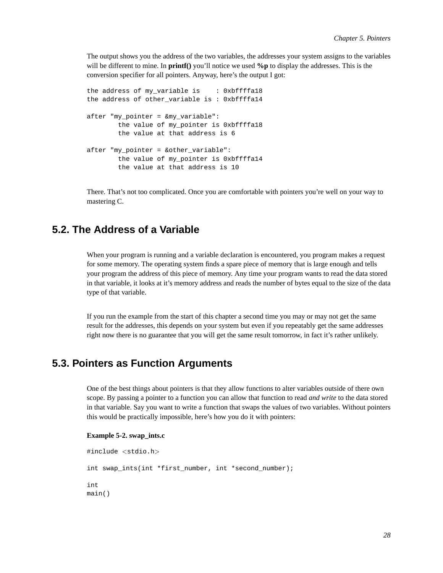The output shows you the address of the two variables, the addresses your system assigns to the variables will be different to mine. In **printf()** you'll notice we used **%p** to display the addresses. This is the conversion specifier for all pointers. Anyway, here's the output I got:

```
the address of my variable is : 0xbffffa18
the address of other_variable is : 0xbffffa14
after "my_pointer = &my_variable":
       the value of my_pointer is 0xbffffa18
        the value at that address is 6
after "my pointer = &other variable":
        the value of my_pointer is 0xbffffa14
        the value at that address is 10
```
There. That's not too complicated. Once you are comfortable with pointers you're well on your way to mastering C.

### **5.2. The Address of a Variable**

When your program is running and a variable declaration is encountered, you program makes a request for some memory. The operating system finds a spare piece of memory that is large enough and tells your program the address of this piece of memory. Any time your program wants to read the data stored in that variable, it looks at it's memory address and reads the number of bytes equal to the size of the data type of that variable.

If you run the example from the start of this chapter a second time you may or may not get the same result for the addresses, this depends on your system but even if you repeatably get the same addresses right now there is no guarantee that you will get the same result tomorrow, in fact it's rather unlikely.

# **5.3. Pointers as Function Arguments**

One of the best things about pointers is that they allow functions to alter variables outside of there own scope. By passing a pointer to a function you can allow that function to read *and write* to the data stored in that variable. Say you want to write a function that swaps the values of two variables. Without pointers this would be practically impossible, here's how you do it with pointers:

### **Example 5-2. swap\_ints.c**

```
#include <stdio.h>
int swap_ints(int *first_number, int *second_number);
int
main()
```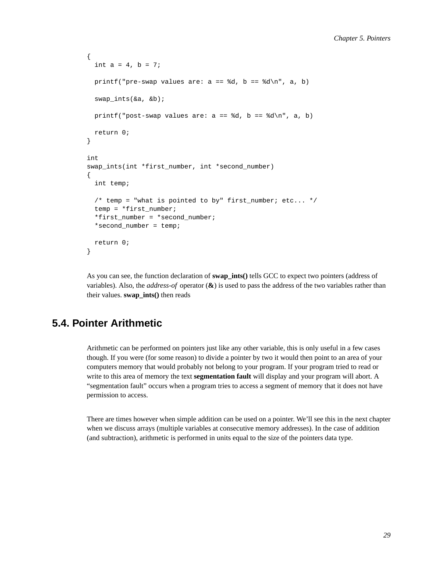```
{
  int a = 4, b = 7;
 printf("pre-swap values are: a == *d, b == *d\n", a, b)
  swap_ints(&a, &b);
 printf("post-swap values are: a == *d, b == *d\n", a, b)
  return 0;
}
int
swap_ints(int *first_number, int *second_number)
{
  int temp;
  /* temp = "what is pointed to by" first number; etc... */
  temp = *first_number;
  *first_number = *second_number;
  *second_number = temp;
 return 0;
}
```
As you can see, the function declaration of **swap\_ints()** tells GCC to expect two pointers (address of variables). Also, the *address-of* operator (**&**) is used to pass the address of the two variables rather than their values. **swap\_ints()** then reads

# **5.4. Pointer Arithmetic**

Arithmetic can be performed on pointers just like any other variable, this is only useful in a few cases though. If you were (for some reason) to divide a pointer by two it would then point to an area of your computers memory that would probably not belong to your program. If your program tried to read or write to this area of memory the text **segmentation fault** will display and your program will abort. A "segmentation fault" occurs when a program tries to access a segment of memory that it does not have permission to access.

There are times however when simple addition can be used on a pointer. We'll see this in the next chapter when we discuss arrays (multiple variables at consecutive memory addresses). In the case of addition (and subtraction), arithmetic is performed in units equal to the size of the pointers data type.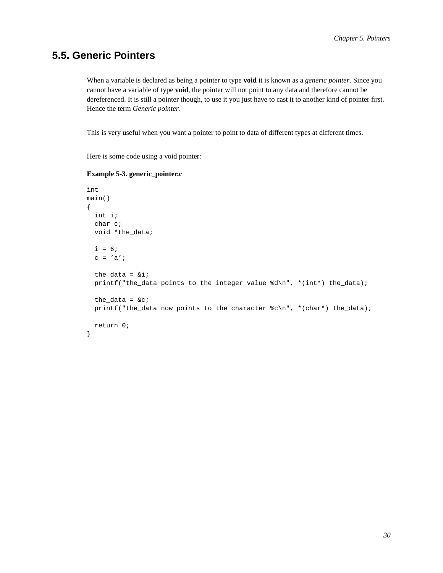## **5.5. Generic Pointers**

When a variable is declared as being a pointer to type **void** it is known as a *generic pointer*. Since you cannot have a variable of type **void**, the pointer will not point to any data and therefore cannot be dereferenced. It is still a pointer though, to use it you just have to cast it to another kind of pointer first. Hence the term *Generic pointer*.

This is very useful when you want a pointer to point to data of different types at different times.

Here is some code using a void pointer:

### **Example 5-3. generic\_pointer.c**

```
int
main()
{
  int i;
 char c;
 void *the_data;
  i = 6;c = 'a';
  the_data = &ii;
 printf("the_data points to the integer value %d\n", *(int*) the_data);
  the data = &ciprintf("the_data now points to the character c\nm", *(char*) the_data);
 return 0;
}
```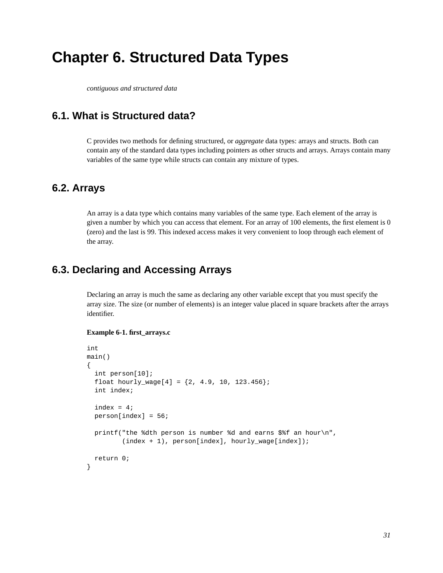# **Chapter 6. Structured Data Types**

*contiguous and structured data*

# **6.1. What is Structured data?**

C provides two methods for defining structured, or *aggregate* data types: arrays and structs. Both can contain any of the standard data types including pointers as other structs and arrays. Arrays contain many variables of the same type while structs can contain any mixture of types.

# **6.2. Arrays**

An array is a data type which contains many variables of the same type. Each element of the array is given a number by which you can access that element. For an array of 100 elements, the first element is 0 (zero) and the last is 99. This indexed access makes it very convenient to loop through each element of the array.

# **6.3. Declaring and Accessing Arrays**

Declaring an array is much the same as declaring any other variable except that you must specify the array size. The size (or number of elements) is an integer value placed in square brackets after the arrays identifier.

### **Example 6-1. first\_arrays.c**

```
int
main()
{
  int person[10];
  float hourly_wage[4] = \{2, 4.9, 10, 123.456\};
  int index;
  index = 4;
  person[index] = 56;
 printf("the %dth person is number %d and earns $%f an hour\n",
         (intext + 1), person[index], hourly_wage[index]);return 0;
}
```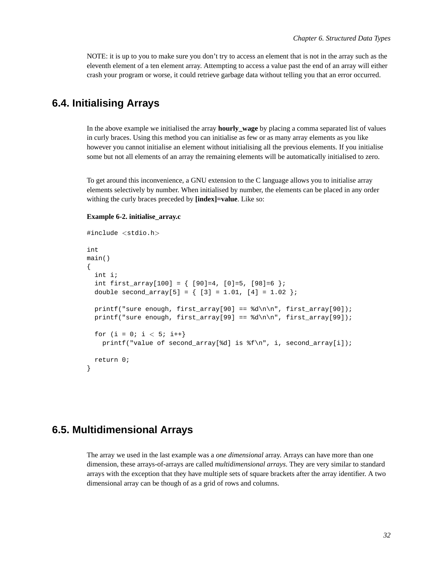NOTE: it is up to you to make sure you don't try to access an element that is not in the array such as the eleventh element of a ten element array. Attempting to access a value past the end of an array will either crash your program or worse, it could retrieve garbage data without telling you that an error occurred.

# **6.4. Initialising Arrays**

In the above example we initialised the array **hourly\_wage** by placing a comma separated list of values in curly braces. Using this method you can initialise as few or as many array elements as you like however you cannot initialise an element without initialising all the previous elements. If you initialise some but not all elements of an array the remaining elements will be automatically initialised to zero.

To get around this inconvenience, a GNU extension to the C language allows you to initialise array elements selectively by number. When initialised by number, the elements can be placed in any order withing the curly braces preceded by **[index]=value**. Like so:

### **Example 6-2. initialise\_array.c**

```
#include <stdio.h>
int
main()
{
  int i;
  int first_array[100] = \{ [90]=4, [0]=5, [98]=6 \};
  double second_array[5] = \{ [3] = 1.01, [4] = 1.02 \};
  printf("sure enough, first_array[90] == \dagger \dagger \nabla", first_array[90]);
  printf("sure enough, first_array[99] == \dagger \dagger\n", first_array[99]);
  for (i = 0; i < 5; i++)printf("value of second_array[%d] is %f\n", i, second_array[i]);
  return 0;
}
```
# **6.5. Multidimensional Arrays**

The array we used in the last example was a *one dimensional* array. Arrays can have more than one dimension, these arrays-of-arrays are called *multidimensional arrays*. They are very similar to standard arrays with the exception that they have multiple sets of square brackets after the array identifier. A two dimensional array can be though of as a grid of rows and columns.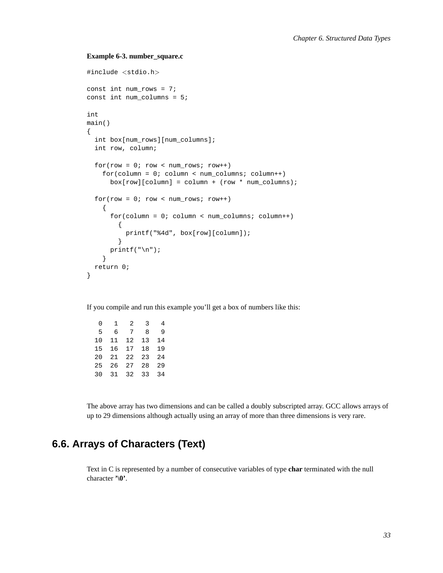### **Example 6-3. number\_square.c**

```
#include <stdio.h>
const int num_rows = 7;
const int num_columns = 5;
int
main()
{
  int box[num_rows][num_columns];
  int row, column;
  for(row = 0; row < number; num\_rows; row++)for(column = 0; column < num columns; column++)
      box[row][column] = column + (row * num_columns);for(row = 0; row < number; num\_rows; row++){
      for(column = 0; column < num columns; column++)
        {
          printf("%4d", box[row][column]);
        }
      print(f("\n'\n');
    }
  return 0;
}
```
If you compile and run this example you'll get a box of numbers like this:

| 0  | 1  | 2    | 3  | 4  |
|----|----|------|----|----|
| 5  | 6  | 7    | 8  | 9  |
| 10 | 11 | 12   | 13 | 14 |
| 15 | 16 | 17   | 18 | 19 |
| 20 | 21 | 2.2. | 23 | 24 |
| 25 | 26 | 27   | 28 | 29 |
| 30 | 31 | 32   | 33 | 34 |
|    |    |      |    |    |

The above array has two dimensions and can be called a doubly subscripted array. GCC allows arrays of up to 29 dimensions although actually using an array of more than three dimensions is very rare.

# **6.6. Arrays of Characters (Text)**

Text in C is represented by a number of consecutive variables of type **char** terminated with the null character **'\0'**.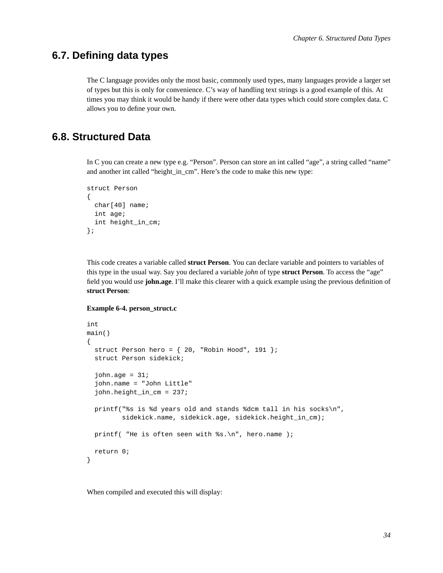# **6.7. Defining data types**

The C language provides only the most basic, commonly used types, many languages provide a larger set of types but this is only for convenience. C's way of handling text strings is a good example of this. At times you may think it would be handy if there were other data types which could store complex data. C allows you to define your own.

# **6.8. Structured Data**

In C you can create a new type e.g. "Person". Person can store an int called "age", a string called "name" and another int called "height in cm". Here's the code to make this new type:

```
struct Person
{
  char[40] name;
  int age;
 int height_in_cm;
};
```
This code creates a variable called **struct Person**. You can declare variable and pointers to variables of this type in the usual way. Say you declared a variable *john* of type **struct Person**. To access the "age" field you would use **john.age**. I'll make this clearer with a quick example using the previous definition of **struct Person**:

### **Example 6-4. person\_struct.c**

```
int
main()
{
  struct Person hero = \{20, "Robin Hood", 191 };
  struct Person sidekick;
  john.aqe = 31;john.name = "John Little"
  john.height_in_cm = 237;
  printf("%s is %d years old and stands %dcm tall in his socks\n",
         sidekick.name, sidekick.age, sidekick.height_in_cm);
 printf( "He is often seen with s.\nn", hero.name );
  return 0;
}
```
When compiled and executed this will display: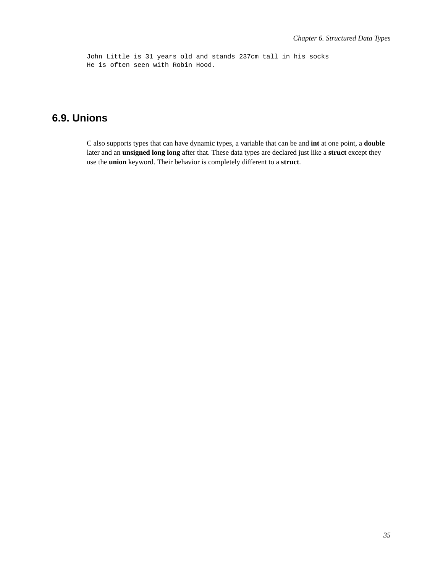John Little is 31 years old and stands 237cm tall in his socks He is often seen with Robin Hood.

# **6.9. Unions**

C also supports types that can have dynamic types, a variable that can be and **int** at one point, a **double** later and an **unsigned long long** after that. These data types are declared just like a **struct** except they use the **union** keyword. Their behavior is completely different to a **struct**.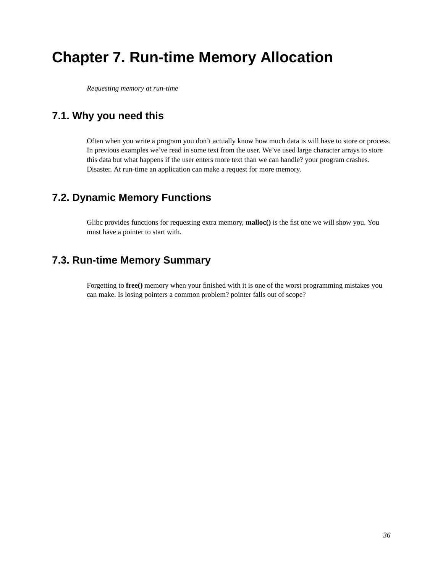# **Chapter 7. Run-time Memory Allocation**

*Requesting memory at run-time*

# **7.1. Why you need this**

Often when you write a program you don't actually know how much data is will have to store or process. In previous examples we've read in some text from the user. We've used large character arrays to store this data but what happens if the user enters more text than we can handle? your program crashes. Disaster. At run-time an application can make a request for more memory.

# **7.2. Dynamic Memory Functions**

Glibc provides functions for requesting extra memory, **malloc()** is the fist one we will show you. You must have a pointer to start with.

# **7.3. Run-time Memory Summary**

Forgetting to **free()** memory when your finished with it is one of the worst programming mistakes you can make. Is losing pointers a common problem? pointer falls out of scope?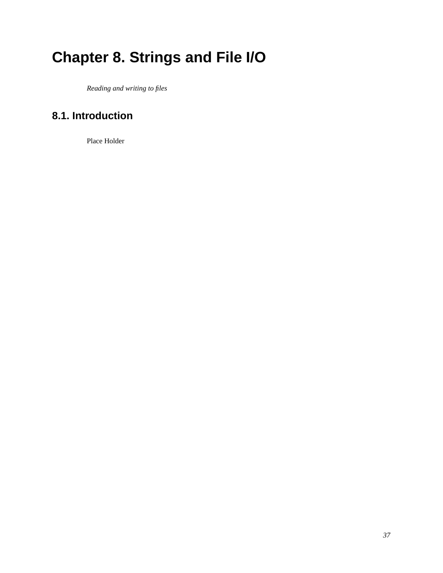# **Chapter 8. Strings and File I/O**

*Reading and writing to files*

# **8.1. Introduction**

Place Holder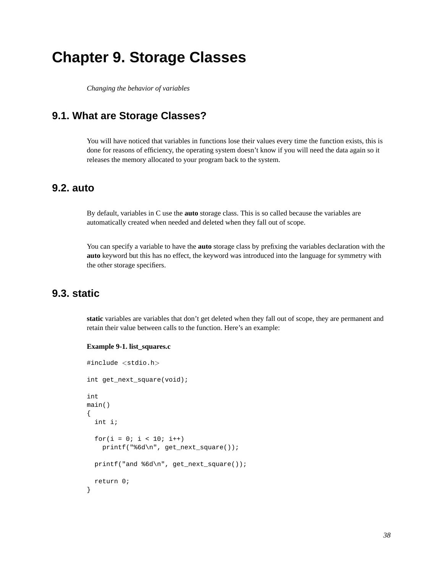# **Chapter 9. Storage Classes**

*Changing the behavior of variables*

# **9.1. What are Storage Classes?**

You will have noticed that variables in functions lose their values every time the function exists, this is done for reasons of efficiency, the operating system doesn't know if you will need the data again so it releases the memory allocated to your program back to the system.

# **9.2. auto**

By default, variables in C use the **auto** storage class. This is so called because the variables are automatically created when needed and deleted when they fall out of scope.

You can specify a variable to have the **auto** storage class by prefixing the variables declaration with the **auto** keyword but this has no effect, the keyword was introduced into the language for symmetry with the other storage specifiers.

# **9.3. static**

**static** variables are variables that don't get deleted when they fall out of scope, they are permanent and retain their value between calls to the function. Here's an example:

#### **Example 9-1. list\_squares.c**

```
#include <stdio.h>
int get_next_square(void);
int
main()
{
  int i;
  for(i = 0; i < 10; i++)printf("%6d\n", get_next_square());
 printf("and %6d\n", get_next_square());
  return 0;
}
```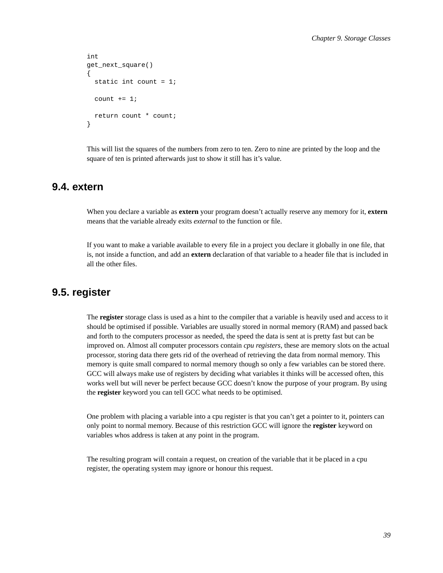```
int
get_next_square()
{
  static int count = 1;
  count += 1;return count * count;
}
```
This will list the squares of the numbers from zero to ten. Zero to nine are printed by the loop and the square of ten is printed afterwards just to show it still has it's value.

### **9.4. extern**

When you declare a variable as **extern** your program doesn't actually reserve any memory for it, **extern** means that the variable already exits *external* to the function or file.

If you want to make a variable available to every file in a project you declare it globally in one file, that is, not inside a function, and add an **extern** declaration of that variable to a header file that is included in all the other files.

## **9.5. register**

The **register** storage class is used as a hint to the compiler that a variable is heavily used and access to it should be optimised if possible. Variables are usually stored in normal memory (RAM) and passed back and forth to the computers processor as needed, the speed the data is sent at is pretty fast but can be improved on. Almost all computer processors contain *cpu registers*, these are memory slots on the actual processor, storing data there gets rid of the overhead of retrieving the data from normal memory. This memory is quite small compared to normal memory though so only a few variables can be stored there. GCC will always make use of registers by deciding what variables it thinks will be accessed often, this works well but will never be perfect because GCC doesn't know the purpose of your program. By using the **register** keyword you can tell GCC what needs to be optimised.

One problem with placing a variable into a cpu register is that you can't get a pointer to it, pointers can only point to normal memory. Because of this restriction GCC will ignore the **register** keyword on variables whos address is taken at any point in the program.

The resulting program will contain a request, on creation of the variable that it be placed in a cpu register, the operating system may ignore or honour this request.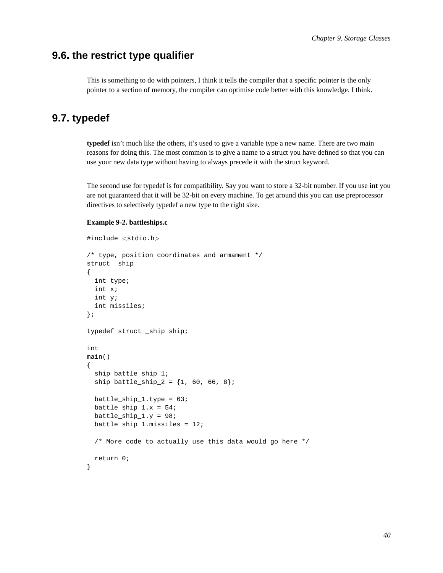## **9.6. the restrict type qualifier**

This is something to do with pointers, I think it tells the compiler that a specific pointer is the only pointer to a section of memory, the compiler can optimise code better with this knowledge. I think.

# **9.7. typedef**

**typedef** isn't much like the others, it's used to give a variable type a new name. There are two main reasons for doing this. The most common is to give a name to a struct you have defined so that you can use your new data type without having to always precede it with the struct keyword.

The second use for typedef is for compatibility. Say you want to store a 32-bit number. If you use **int** you are not guaranteed that it will be 32-bit on every machine. To get around this you can use preprocessor directives to selectively typedef a new type to the right size.

### **Example 9-2. battleships.c**

```
#include <stdio.h>
/* type, position coordinates and armament */
struct _ship
{
  int type;
  int x;
  int y;
  int missiles;
};
typedef struct _ship ship;
int
main()
{
  ship battle_ship_1;
  ship battle_ship_2 = \{1, 60, 66, 8\};
 battle ship 1.type = 63;
 battle_ship_1.x = 54;
 battle_ship_1.y = 98;
 battle_ship_1.missiles = 12;
  /* More code to actually use this data would go here */
  return 0;
}
```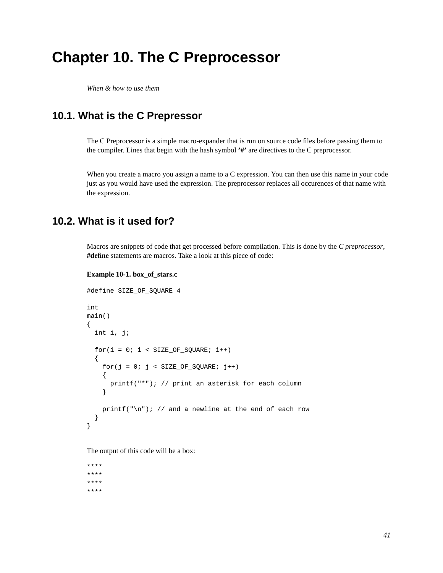# **Chapter 10. The C Preprocessor**

*When & how to use them*

# **10.1. What is the C Prepressor**

The C Preprocessor is a simple macro-expander that is run on source code files before passing them to the compiler. Lines that begin with the hash symbol **'#'** are directives to the C preprocessor.

When you create a macro you assign a name to a C expression. You can then use this name in your code just as you would have used the expression. The preprocessor replaces all occurences of that name with the expression.

## **10.2. What is it used for?**

Macros are snippets of code that get processed before compilation. This is done by the *C preprocessor*, **#define** statements are macros. Take a look at this piece of code:

#### **Example 10-1. box\_of\_stars.c**

```
#define SIZE_OF_SQUARE 4
int
main()
{
  int i, j;
  for(i = 0; i < SIZE\_OF_SQUARE; i++){
    for(j = 0; j < SIZE_OF_SQUARE; j++){
     printf("*"); // print an asterisk for each column
    }
    printf("n"); // and a newline at the end of each row}
}
```
The output of this code will be a box:

\*\*\*\* \*\*\*\* \*\*\*\* \*\*\*\*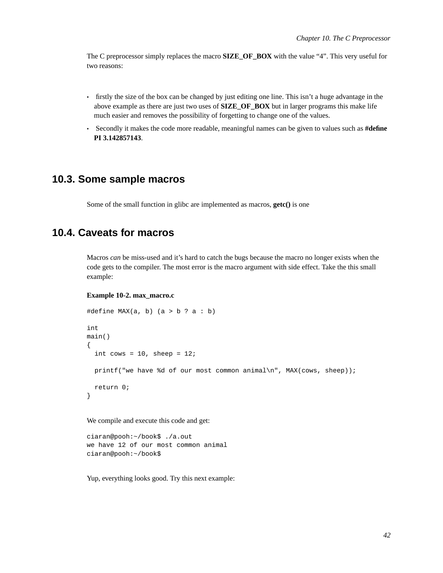The C preprocessor simply replaces the macro **SIZE\_OF\_BOX** with the value "4". This very useful for two reasons:

- firstly the size of the box can be changed by just editing one line. This isn't a huge advantage in the above example as there are just two uses of **SIZE** OF BOX but in larger programs this make life much easier and removes the possibility of forgetting to change one of the values.
- Secondly it makes the code more readable, meaningful names can be given to values such as **#define PI 3.142857143**.

### **10.3. Some sample macros**

Some of the small function in glibc are implemented as macros, **getc()** is one

## **10.4. Caveats for macros**

Macros *can* be miss-used and it's hard to catch the bugs because the macro no longer exists when the code gets to the compiler. The most error is the macro argument with side effect. Take the this small example:

#### **Example 10-2. max\_macro.c**

```
#define MAX(a, b) (a > b ? a : b)int
main()
{
  int cows = 10, sheep = 12;
  printf("we have %d of our most common animal\n", MAX(cows, sheep));
 return 0;
}
```
We compile and execute this code and get:

```
ciaran@pooh:~/book$ ./a.out
we have 12 of our most common animal
ciaran@pooh:~/book$
```
Yup, everything looks good. Try this next example: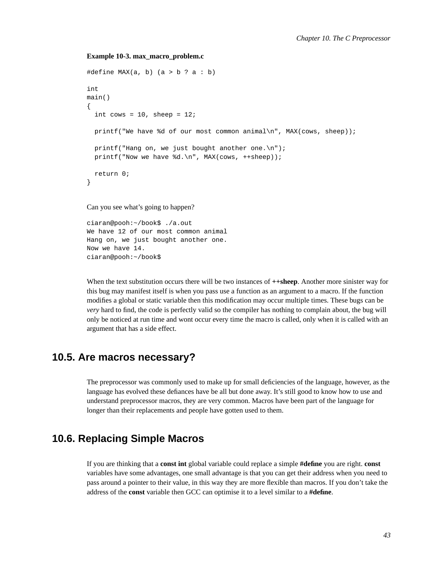#### **Example 10-3. max\_macro\_problem.c**

```
#define MAX(a, b) (a > b ? a : b)int
main()
{
  int cows = 10, sheep = 12;
  printf("We have %d of our most common animal\n", MAX(cows, sheep));
  printf("Hang on, we just bought another one.\n");
  printf("Now we have d.\n^n, MAX(cows, ++sheep));
 return 0;
}
```
Can you see what's going to happen?

ciaran@pooh:~/book\$ ./a.out We have 12 of our most common animal Hang on, we just bought another one. Now we have 14. ciaran@pooh:~/book\$

When the text substitution occurs there will be two instances of **++sheep**. Another more sinister way for this bug may manifest itself is when you pass use a function as an argument to a macro. If the function modifies a global or static variable then this modification may occur multiple times. These bugs can be *very* hard to find, the code is perfectly valid so the compiler has nothing to complain about, the bug will only be noticed at run time and wont occur every time the macro is called, only when it is called with an argument that has a side effect.

# **10.5. Are macros necessary?**

The preprocessor was commonly used to make up for small deficiencies of the language, however, as the language has evolved these defiances have be all but done away. It's still good to know how to use and understand preprocessor macros, they are very common. Macros have been part of the language for longer than their replacements and people have gotten used to them.

# **10.6. Replacing Simple Macros**

If you are thinking that a **const int** global variable could replace a simple **#define** you are right. **const** variables have some advantages, one small advantage is that you can get their address when you need to pass around a pointer to their value, in this way they are more flexible than macros. If you don't take the address of the **const** variable then GCC can optimise it to a level similar to a **#define**.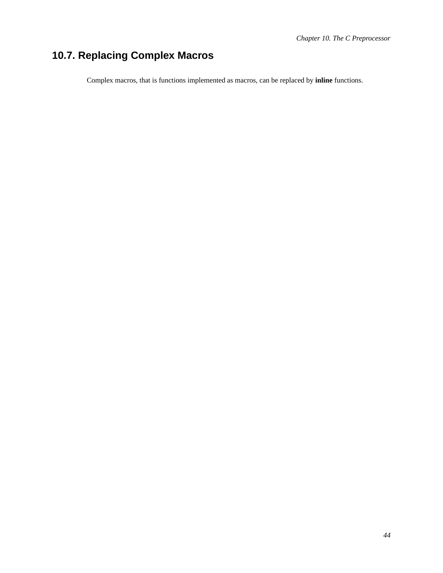# **10.7. Replacing Complex Macros**

Complex macros, that is functions implemented as macros, can be replaced by **inline** functions.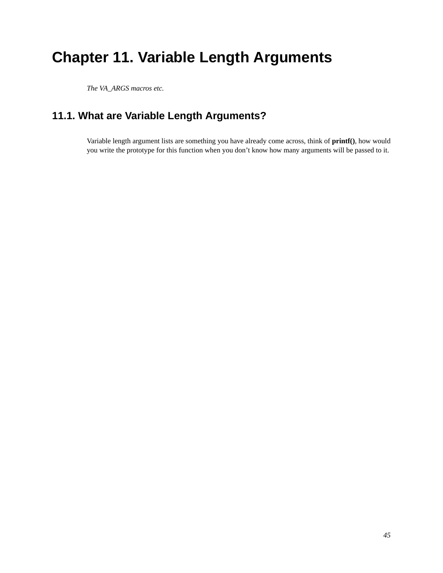# **Chapter 11. Variable Length Arguments**

*The VA\_ARGS macros etc.*

# **11.1. What are Variable Length Arguments?**

Variable length argument lists are something you have already come across, think of **printf()**, how would you write the prototype for this function when you don't know how many arguments will be passed to it.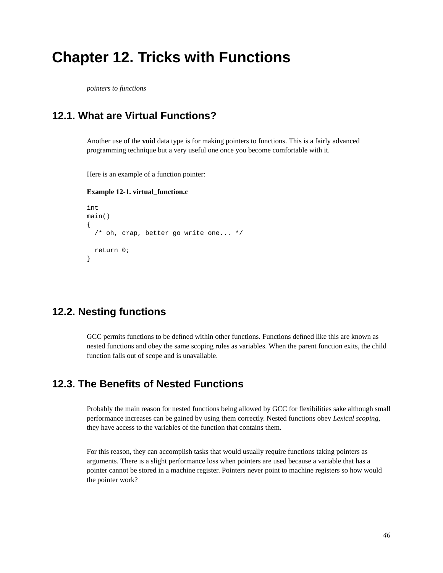# **Chapter 12. Tricks with Functions**

*pointers to functions*

# **12.1. What are Virtual Functions?**

Another use of the **void** data type is for making pointers to functions. This is a fairly advanced programming technique but a very useful one once you become comfortable with it.

Here is an example of a function pointer:

### **Example 12-1. virtual\_function.c**

```
int
main()
{
  /* oh, crap, better go write one... */
 return 0;
}
```
# **12.2. Nesting functions**

GCC permits functions to be defined within other functions. Functions defined like this are known as nested functions and obey the same scoping rules as variables. When the parent function exits, the child function falls out of scope and is unavailable.

# **12.3. The Benefits of Nested Functions**

Probably the main reason for nested functions being allowed by GCC for flexibilities sake although small performance increases can be gained by using them correctly. Nested functions obey *Lexical scoping*, they have access to the variables of the function that contains them.

For this reason, they can accomplish tasks that would usually require functions taking pointers as arguments. There is a slight performance loss when pointers are used because a variable that has a pointer cannot be stored in a machine register. Pointers never point to machine registers so how would the pointer work?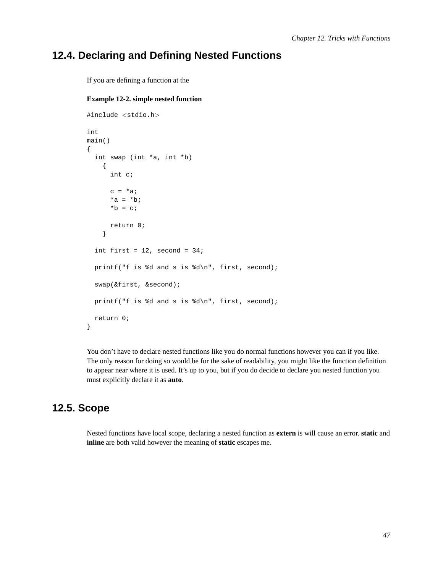## **12.4. Declaring and Defining Nested Functions**

If you are defining a function at the

```
Example 12-2. simple nested function
```

```
#include <stdio.h>
int
main()
{
  int swap (int *a, int *b)
    {
      int c;
      c = *a;*a = *b;*b = cireturn 0;
    }
  int first = 12, second = 34;
  printf("f is %d and s is %d\n", first, second);
  swap(&first, &second);
  printf("f is %d and s is %d\n", first, second);
  return 0;
}
```
You don't have to declare nested functions like you do normal functions however you can if you like. The only reason for doing so would be for the sake of readability, you might like the function definition to appear near where it is used. It's up to you, but if you do decide to declare you nested function you must explicitly declare it as **auto**.

# **12.5. Scope**

Nested functions have local scope, declaring a nested function as **extern** is will cause an error. **static** and **inline** are both valid however the meaning of **static** escapes me.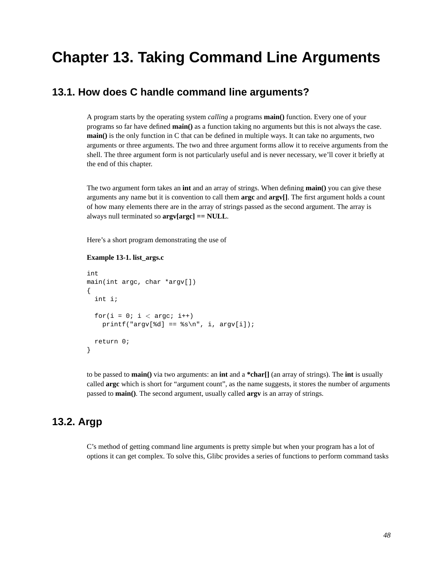# **Chapter 13. Taking Command Line Arguments**

# **13.1. How does C handle command line arguments?**

A program starts by the operating system *calling* a programs **main()** function. Every one of your programs so far have defined **main()** as a function taking no arguments but this is not always the case. **main**() is the only function in C that can be defined in multiple ways. It can take no arguments, two arguments or three arguments. The two and three argument forms allow it to receive arguments from the shell. The three argument form is not particularly useful and is never necessary, we'll cover it briefly at the end of this chapter.

The two argument form takes an **int** and an array of strings. When defining **main()** you can give these arguments any name but it is convention to call them **argc** and **argv[]**. The first argument holds a count of how many elements there are in the array of strings passed as the second argument. The array is always null terminated so **argv[argc] == NULL**.

Here's a short program demonstrating the use of

### **Example 13-1. list\_args.c**

```
int
main(int argc, char *argv[])
{
  int i;
  for(i = 0; i < argc; i++)printf("argv[%d] == \s\nu,", i, argv[i]);
  return 0;
}
```
to be passed to **main()** via two arguments: an **int** and a **\*char[]** (an array of strings). The **int** is usually called **argc** which is short for "argument count", as the name suggests, it stores the number of arguments passed to **main()**. The second argument, usually called **argv** is an array of strings.

## **13.2. Argp**

C's method of getting command line arguments is pretty simple but when your program has a lot of options it can get complex. To solve this, Glibc provides a series of functions to perform command tasks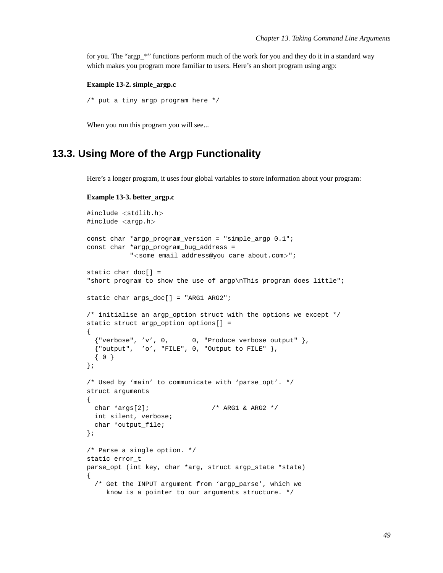for you. The "argp\_\*" functions perform much of the work for you and they do it in a standard way which makes you program more familiar to users. Here's an short program using argp:

#### **Example 13-2. simple\_argp.c**

```
/* put a tiny argp program here */
```
When you run this program you will see...

# **13.3. Using More of the Argp Functionality**

Here's a longer program, it uses four global variables to store information about your program:

```
Example 13-3. better_argp.c
```

```
#include <stdlib.h>
#include <argp.h>
const char *argp_program_version = "simple_argp 0.1";
const char *argp_program_bug_address =
           "<some_email_address@you_care_about.com>";
static char doc[] =
"short program to show the use of argp\nThis program does little";
static char args doc[] = "ARG1 ARG2";/* initialise an argp_option struct with the options we except */
static struct argp_option options[] =
{
  {"verbose", 'v', 0, 0, "Produce verbose output" },
  {"output", 'o', "FILE", 0, "Output to FILE" },
  { 0 }
};
/* Used by 'main' to communicate with 'parse_opt'. */
struct arguments
{
 char *args[2]; /* ARG1 & ARG2 */
  int silent, verbose;
 char *output_file;
};
/* Parse a single option. */
static error_t
parse_opt (int key, char *arg, struct argp_state *state)
{
  /* Get the INPUT argument from 'argp_parse', which we
     know is a pointer to our arguments structure. */
```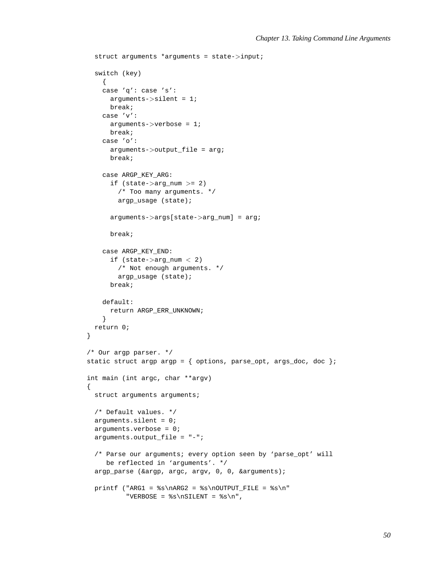```
struct arguments *arguments = state->input;
  switch (key)
   {
    case 'q': case 's':
     arguments->silent = 1;
     break;
    case 'v':
     arguments->verbose = 1;
     break;
    case 'o':
      arguments->output_file = arg;
      break;
    case ARGP_KEY_ARG:
      if (\text{state}-\text{arg}_\text{num} >= 2)
        /* Too many arguments. */
       argp_usage (state);
      arguments->args[state->arg_num] = arg;
      break;
    case ARGP_KEY_END:
      if (state->arg num < 2)
        /* Not enough arguments. */
       argp_usage (state);
      break;
    default:
     return ARGP_ERR_UNKNOWN;
    }
 return 0;
}
/* Our argp parser. */
static struct argp argp = { options, parse_opt, args_doc, doc };
int main (int argc, char **argv)
{
 struct arguments arguments;
  /* Default values. */
  arguments.silent = 0;
  arguments.verbose = 0;
  arguments.output_file = "--";/* Parse our arguments; every option seen by 'parse_opt' will
     be reflected in 'arguments'. */
  argp_parse (&argp, argc, argv, 0, 0, &arguments);
  printf ("ARG1 = s\naRG2 = s\noUTPUT_FILE = s\n""VERBOSE = s\nS\InSILENT = <s\n",
```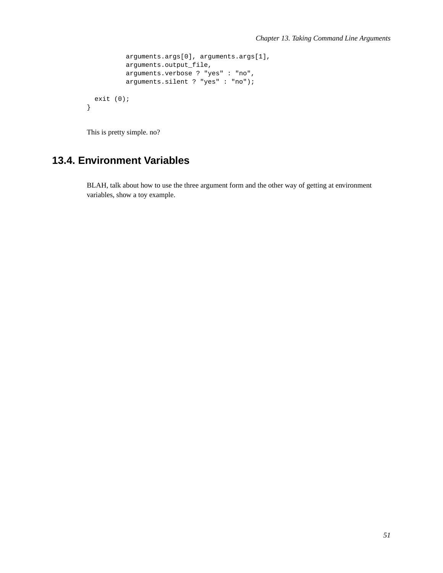```
arguments.args[0], arguments.args[1],
        arguments.output_file,
        arguments.verbose ? "yes" : "no",
        arguments.silent ? "yes" : "no");
exit (0);
```
This is pretty simple. no?

}

# **13.4. Environment Variables**

BLAH, talk about how to use the three argument form and the other way of getting at environment variables, show a toy example.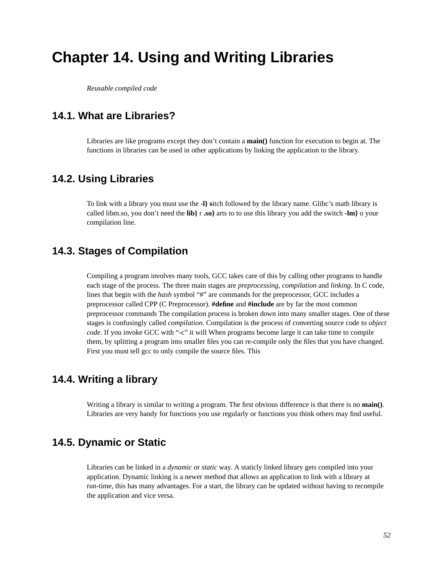# **Chapter 14. Using and Writing Libraries**

*Reusable compiled code*

# **14.1. What are Libraries?**

Libraries are like programs except they don't contain a **main()** function for execution to begin at. The functions in libraries can be used in other applications by linking the application to the library.

### **14.2. Using Libraries**

To link with a library you must use the **-l} s**itch followed by the library name. Glibc's math library is called libm.so, you don't need the **lib}** r **.so}** arts to to use this library you add the switch **-lm}** o your compilation line.

# **14.3. Stages of Compilation**

Compiling a program involves many tools, GCC takes care of this by calling other programs to handle each stage of the process. The three main stages are *preprocessing*, *compilation* and *linking*. In C code, lines that begin with the *hash* symbol "#" are commands for the preprocessor, GCC includes a preprocessor called CPP (C Preprocessor). **#define** and **#include** are by far the most common preprocessor commands The compilation process is broken down into many smaller stages. One of these stages is confusingly called *compilation*. Compilation is the process of converting source code to *object code*. If you invoke GCC with "-c" it will When programs become large it can take time to compile them, by splitting a program into smaller files you can re-compile only the files that you have changed. First you must tell gcc to only compile the source files. This

# **14.4. Writing a library**

Writing a library is similar to writing a program. The first obvious difference is that there is no **main()**. Libraries are very handy for functions you use regularly or functions you think others may find useful.

## **14.5. Dynamic or Static**

Libraries can be linked in a *dynamic* or *static* way. A staticly linked library gets compiled into your application. Dynamic linking is a newer method that allows an application to link with a library at run-time, this has many advantages. For a start, the library can be updated without having to recompile the application and vice versa.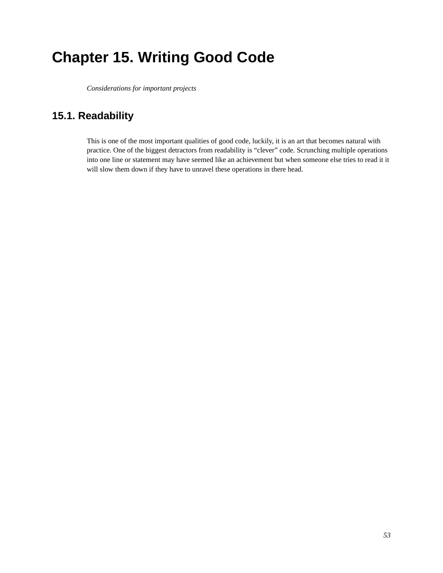# **Chapter 15. Writing Good Code**

*Considerations for important projects*

# **15.1. Readability**

This is one of the most important qualities of good code, luckily, it is an art that becomes natural with practice. One of the biggest detractors from readability is "clever" code. Scrunching multiple operations into one line or statement may have seemed like an achievement but when someone else tries to read it it will slow them down if they have to unravel these operations in there head.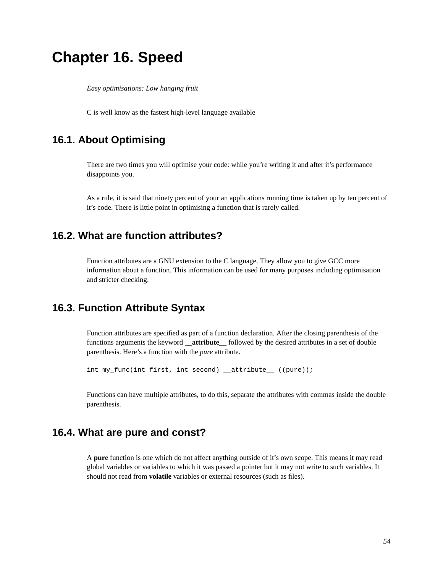# **Chapter 16. Speed**

*Easy optimisations: Low hanging fruit*

C is well know as the fastest high-level language available

# **16.1. About Optimising**

There are two times you will optimise your code: while you're writing it and after it's performance disappoints you.

As a rule, it is said that ninety percent of your an applications running time is taken up by ten percent of it's code. There is little point in optimising a function that is rarely called.

# **16.2. What are function attributes?**

Function attributes are a GNU extension to the C language. They allow you to give GCC more information about a function. This information can be used for many purposes including optimisation and stricter checking.

# **16.3. Function Attribute Syntax**

Function attributes are specified as part of a function declaration. After the closing parenthesis of the functions arguments the keyword **\_\_attribute\_\_** followed by the desired attributes in a set of double parenthesis. Here's a function with the *pure* attribute.

```
int my_func(int first, int second) __attribute__ ((pure));
```
Functions can have multiple attributes, to do this, separate the attributes with commas inside the double parenthesis.

# **16.4. What are pure and const?**

A **pure** function is one which do not affect anything outside of it's own scope. This means it may read global variables or variables to which it was passed a pointer but it may not write to such variables. It should not read from **volatile** variables or external resources (such as files).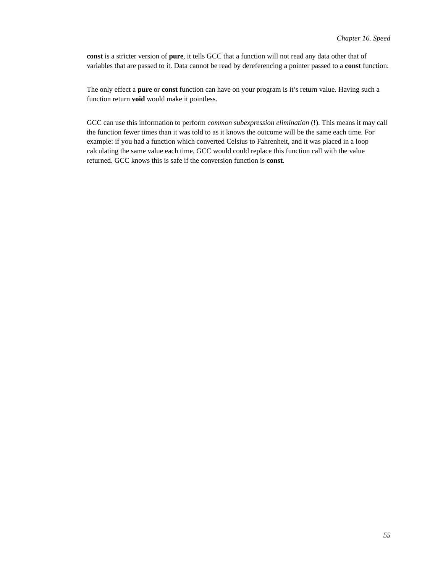**const** is a stricter version of **pure**, it tells GCC that a function will not read any data other that of variables that are passed to it. Data cannot be read by dereferencing a pointer passed to a **const** function.

The only effect a **pure** or **const** function can have on your program is it's return value. Having such a function return **void** would make it pointless.

GCC can use this information to perform *common subexpression elimination* (!). This means it may call the function fewer times than it was told to as it knows the outcome will be the same each time. For example: if you had a function which converted Celsius to Fahrenheit, and it was placed in a loop calculating the same value each time, GCC would could replace this function call with the value returned. GCC knows this is safe if the conversion function is **const**.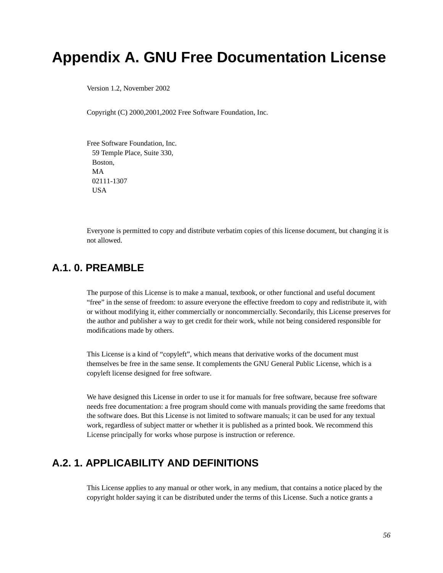# **Appendix A. GNU Free Documentation License**

Version 1.2, November 2002

Copyright (C) 2000,2001,2002 Free Software Foundation, Inc.

Free Software Foundation, Inc. 59 Temple Place, Suite 330, Boston, MA 02111-1307 **I**ISA

Everyone is permitted to copy and distribute verbatim copies of this license document, but changing it is not allowed.

# **A.1. 0. PREAMBLE**

The purpose of this License is to make a manual, textbook, or other functional and useful document "free" in the sense of freedom: to assure everyone the effective freedom to copy and redistribute it, with or without modifying it, either commercially or noncommercially. Secondarily, this License preserves for the author and publisher a way to get credit for their work, while not being considered responsible for modifications made by others.

This License is a kind of "copyleft", which means that derivative works of the document must themselves be free in the same sense. It complements the GNU General Public License, which is a copyleft license designed for free software.

We have designed this License in order to use it for manuals for free software, because free software needs free documentation: a free program should come with manuals providing the same freedoms that the software does. But this License is not limited to software manuals; it can be used for any textual work, regardless of subject matter or whether it is published as a printed book. We recommend this License principally for works whose purpose is instruction or reference.

# **A.2. 1. APPLICABILITY AND DEFINITIONS**

This License applies to any manual or other work, in any medium, that contains a notice placed by the copyright holder saying it can be distributed under the terms of this License. Such a notice grants a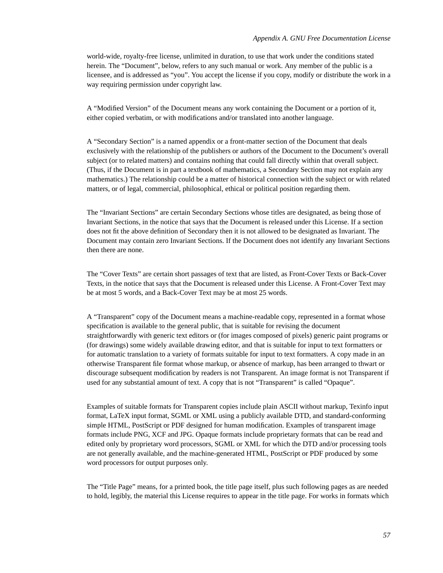world-wide, royalty-free license, unlimited in duration, to use that work under the conditions stated herein. The "Document", below, refers to any such manual or work. Any member of the public is a licensee, and is addressed as "you". You accept the license if you copy, modify or distribute the work in a way requiring permission under copyright law.

A "Modified Version" of the Document means any work containing the Document or a portion of it, either copied verbatim, or with modifications and/or translated into another language.

A "Secondary Section" is a named appendix or a front-matter section of the Document that deals exclusively with the relationship of the publishers or authors of the Document to the Document's overall subject (or to related matters) and contains nothing that could fall directly within that overall subject. (Thus, if the Document is in part a textbook of mathematics, a Secondary Section may not explain any mathematics.) The relationship could be a matter of historical connection with the subject or with related matters, or of legal, commercial, philosophical, ethical or political position regarding them.

The "Invariant Sections" are certain Secondary Sections whose titles are designated, as being those of Invariant Sections, in the notice that says that the Document is released under this License. If a section does not fit the above definition of Secondary then it is not allowed to be designated as Invariant. The Document may contain zero Invariant Sections. If the Document does not identify any Invariant Sections then there are none.

The "Cover Texts" are certain short passages of text that are listed, as Front-Cover Texts or Back-Cover Texts, in the notice that says that the Document is released under this License. A Front-Cover Text may be at most 5 words, and a Back-Cover Text may be at most 25 words.

A "Transparent" copy of the Document means a machine-readable copy, represented in a format whose specification is available to the general public, that is suitable for revising the document straightforwardly with generic text editors or (for images composed of pixels) generic paint programs or (for drawings) some widely available drawing editor, and that is suitable for input to text formatters or for automatic translation to a variety of formats suitable for input to text formatters. A copy made in an otherwise Transparent file format whose markup, or absence of markup, has been arranged to thwart or discourage subsequent modification by readers is not Transparent. An image format is not Transparent if used for any substantial amount of text. A copy that is not "Transparent" is called "Opaque".

Examples of suitable formats for Transparent copies include plain ASCII without markup, Texinfo input format, LaTeX input format, SGML or XML using a publicly available DTD, and standard-conforming simple HTML, PostScript or PDF designed for human modification. Examples of transparent image formats include PNG, XCF and JPG. Opaque formats include proprietary formats that can be read and edited only by proprietary word processors, SGML or XML for which the DTD and/or processing tools are not generally available, and the machine-generated HTML, PostScript or PDF produced by some word processors for output purposes only.

The "Title Page" means, for a printed book, the title page itself, plus such following pages as are needed to hold, legibly, the material this License requires to appear in the title page. For works in formats which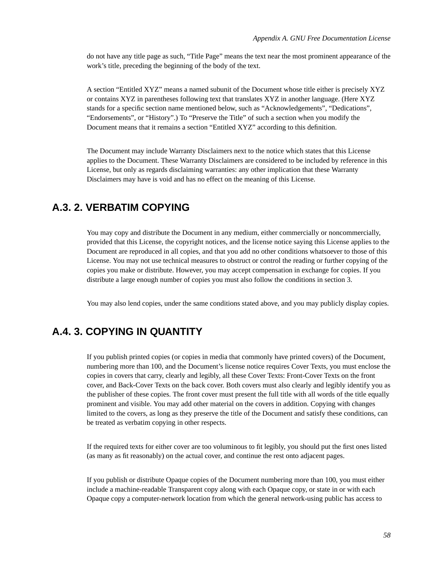do not have any title page as such, "Title Page" means the text near the most prominent appearance of the work's title, preceding the beginning of the body of the text.

A section "Entitled XYZ" means a named subunit of the Document whose title either is precisely XYZ or contains XYZ in parentheses following text that translates XYZ in another language. (Here XYZ stands for a specific section name mentioned below, such as "Acknowledgements", "Dedications", "Endorsements", or "History".) To "Preserve the Title" of such a section when you modify the Document means that it remains a section "Entitled XYZ" according to this definition.

The Document may include Warranty Disclaimers next to the notice which states that this License applies to the Document. These Warranty Disclaimers are considered to be included by reference in this License, but only as regards disclaiming warranties: any other implication that these Warranty Disclaimers may have is void and has no effect on the meaning of this License.

# **A.3. 2. VERBATIM COPYING**

You may copy and distribute the Document in any medium, either commercially or noncommercially, provided that this License, the copyright notices, and the license notice saying this License applies to the Document are reproduced in all copies, and that you add no other conditions whatsoever to those of this License. You may not use technical measures to obstruct or control the reading or further copying of the copies you make or distribute. However, you may accept compensation in exchange for copies. If you distribute a large enough number of copies you must also follow the conditions in section 3.

You may also lend copies, under the same conditions stated above, and you may publicly display copies.

# **A.4. 3. COPYING IN QUANTITY**

If you publish printed copies (or copies in media that commonly have printed covers) of the Document, numbering more than 100, and the Document's license notice requires Cover Texts, you must enclose the copies in covers that carry, clearly and legibly, all these Cover Texts: Front-Cover Texts on the front cover, and Back-Cover Texts on the back cover. Both covers must also clearly and legibly identify you as the publisher of these copies. The front cover must present the full title with all words of the title equally prominent and visible. You may add other material on the covers in addition. Copying with changes limited to the covers, as long as they preserve the title of the Document and satisfy these conditions, can be treated as verbatim copying in other respects.

If the required texts for either cover are too voluminous to fit legibly, you should put the first ones listed (as many as fit reasonably) on the actual cover, and continue the rest onto adjacent pages.

If you publish or distribute Opaque copies of the Document numbering more than 100, you must either include a machine-readable Transparent copy along with each Opaque copy, or state in or with each Opaque copy a computer-network location from which the general network-using public has access to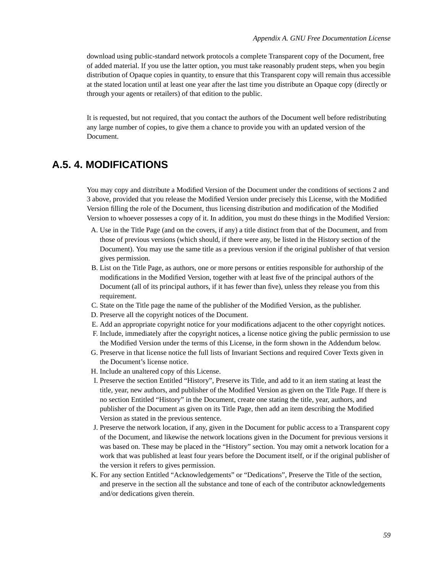download using public-standard network protocols a complete Transparent copy of the Document, free of added material. If you use the latter option, you must take reasonably prudent steps, when you begin distribution of Opaque copies in quantity, to ensure that this Transparent copy will remain thus accessible at the stated location until at least one year after the last time you distribute an Opaque copy (directly or through your agents or retailers) of that edition to the public.

It is requested, but not required, that you contact the authors of the Document well before redistributing any large number of copies, to give them a chance to provide you with an updated version of the Document.

# **A.5. 4. MODIFICATIONS**

You may copy and distribute a Modified Version of the Document under the conditions of sections 2 and 3 above, provided that you release the Modified Version under precisely this License, with the Modified Version filling the role of the Document, thus licensing distribution and modification of the Modified Version to whoever possesses a copy of it. In addition, you must do these things in the Modified Version:

- A. Use in the Title Page (and on the covers, if any) a title distinct from that of the Document, and from those of previous versions (which should, if there were any, be listed in the History section of the Document). You may use the same title as a previous version if the original publisher of that version gives permission.
- B. List on the Title Page, as authors, one or more persons or entities responsible for authorship of the modifications in the Modified Version, together with at least five of the principal authors of the Document (all of its principal authors, if it has fewer than five), unless they release you from this requirement.
- C. State on the Title page the name of the publisher of the Modified Version, as the publisher.
- D. Preserve all the copyright notices of the Document.
- E. Add an appropriate copyright notice for your modifications adjacent to the other copyright notices.
- F. Include, immediately after the copyright notices, a license notice giving the public permission to use the Modified Version under the terms of this License, in the form shown in the Addendum below.
- G. Preserve in that license notice the full lists of Invariant Sections and required Cover Texts given in the Document's license notice.
- H. Include an unaltered copy of this License.
- I. Preserve the section Entitled "History", Preserve its Title, and add to it an item stating at least the title, year, new authors, and publisher of the Modified Version as given on the Title Page. If there is no section Entitled "History" in the Document, create one stating the title, year, authors, and publisher of the Document as given on its Title Page, then add an item describing the Modified Version as stated in the previous sentence.
- J. Preserve the network location, if any, given in the Document for public access to a Transparent copy of the Document, and likewise the network locations given in the Document for previous versions it was based on. These may be placed in the "History" section. You may omit a network location for a work that was published at least four years before the Document itself, or if the original publisher of the version it refers to gives permission.
- K. For any section Entitled "Acknowledgements" or "Dedications", Preserve the Title of the section, and preserve in the section all the substance and tone of each of the contributor acknowledgements and/or dedications given therein.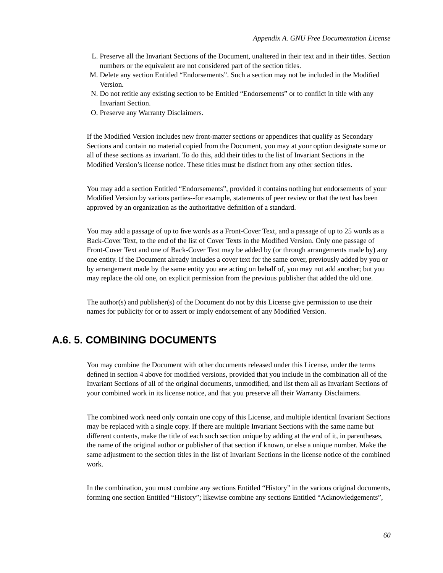- L. Preserve all the Invariant Sections of the Document, unaltered in their text and in their titles. Section numbers or the equivalent are not considered part of the section titles.
- M. Delete any section Entitled "Endorsements". Such a section may not be included in the Modified Version.
- N. Do not retitle any existing section to be Entitled "Endorsements" or to conflict in title with any Invariant Section.
- O. Preserve any Warranty Disclaimers.

If the Modified Version includes new front-matter sections or appendices that qualify as Secondary Sections and contain no material copied from the Document, you may at your option designate some or all of these sections as invariant. To do this, add their titles to the list of Invariant Sections in the Modified Version's license notice. These titles must be distinct from any other section titles.

You may add a section Entitled "Endorsements", provided it contains nothing but endorsements of your Modified Version by various parties--for example, statements of peer review or that the text has been approved by an organization as the authoritative definition of a standard.

You may add a passage of up to five words as a Front-Cover Text, and a passage of up to 25 words as a Back-Cover Text, to the end of the list of Cover Texts in the Modified Version. Only one passage of Front-Cover Text and one of Back-Cover Text may be added by (or through arrangements made by) any one entity. If the Document already includes a cover text for the same cover, previously added by you or by arrangement made by the same entity you are acting on behalf of, you may not add another; but you may replace the old one, on explicit permission from the previous publisher that added the old one.

The author(s) and publisher(s) of the Document do not by this License give permission to use their names for publicity for or to assert or imply endorsement of any Modified Version.

# **A.6. 5. COMBINING DOCUMENTS**

You may combine the Document with other documents released under this License, under the terms defined in section 4 above for modified versions, provided that you include in the combination all of the Invariant Sections of all of the original documents, unmodified, and list them all as Invariant Sections of your combined work in its license notice, and that you preserve all their Warranty Disclaimers.

The combined work need only contain one copy of this License, and multiple identical Invariant Sections may be replaced with a single copy. If there are multiple Invariant Sections with the same name but different contents, make the title of each such section unique by adding at the end of it, in parentheses, the name of the original author or publisher of that section if known, or else a unique number. Make the same adjustment to the section titles in the list of Invariant Sections in the license notice of the combined work.

In the combination, you must combine any sections Entitled "History" in the various original documents, forming one section Entitled "History"; likewise combine any sections Entitled "Acknowledgements",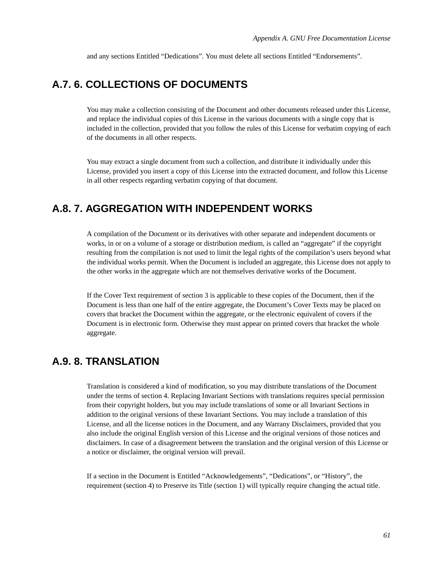and any sections Entitled "Dedications". You must delete all sections Entitled "Endorsements".

### **A.7. 6. COLLECTIONS OF DOCUMENTS**

You may make a collection consisting of the Document and other documents released under this License, and replace the individual copies of this License in the various documents with a single copy that is included in the collection, provided that you follow the rules of this License for verbatim copying of each of the documents in all other respects.

You may extract a single document from such a collection, and distribute it individually under this License, provided you insert a copy of this License into the extracted document, and follow this License in all other respects regarding verbatim copying of that document.

# **A.8. 7. AGGREGATION WITH INDEPENDENT WORKS**

A compilation of the Document or its derivatives with other separate and independent documents or works, in or on a volume of a storage or distribution medium, is called an "aggregate" if the copyright resulting from the compilation is not used to limit the legal rights of the compilation's users beyond what the individual works permit. When the Document is included an aggregate, this License does not apply to the other works in the aggregate which are not themselves derivative works of the Document.

If the Cover Text requirement of section 3 is applicable to these copies of the Document, then if the Document is less than one half of the entire aggregate, the Document's Cover Texts may be placed on covers that bracket the Document within the aggregate, or the electronic equivalent of covers if the Document is in electronic form. Otherwise they must appear on printed covers that bracket the whole aggregate.

## **A.9. 8. TRANSLATION**

Translation is considered a kind of modification, so you may distribute translations of the Document under the terms of section 4. Replacing Invariant Sections with translations requires special permission from their copyright holders, but you may include translations of some or all Invariant Sections in addition to the original versions of these Invariant Sections. You may include a translation of this License, and all the license notices in the Document, and any Warrany Disclaimers, provided that you also include the original English version of this License and the original versions of those notices and disclaimers. In case of a disagreement between the translation and the original version of this License or a notice or disclaimer, the original version will prevail.

If a section in the Document is Entitled "Acknowledgements", "Dedications", or "History", the requirement (section 4) to Preserve its Title (section 1) will typically require changing the actual title.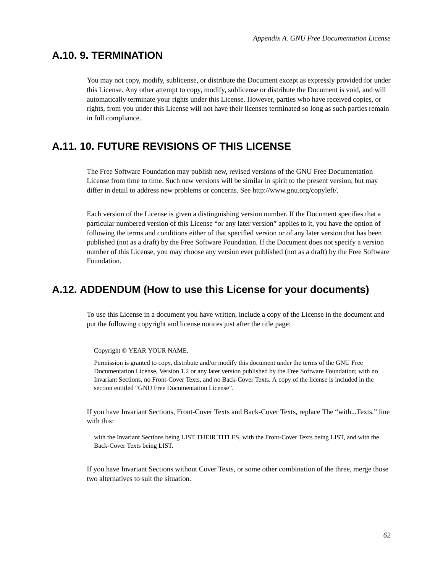# **A.10. 9. TERMINATION**

You may not copy, modify, sublicense, or distribute the Document except as expressly provided for under this License. Any other attempt to copy, modify, sublicense or distribute the Document is void, and will automatically terminate your rights under this License. However, parties who have received copies, or rights, from you under this License will not have their licenses terminated so long as such parties remain in full compliance.

# **A.11. 10. FUTURE REVISIONS OF THIS LICENSE**

The Free Software Foundation may publish new, revised versions of the GNU Free Documentation License from time to time. Such new versions will be similar in spirit to the present version, but may differ in detail to address new problems or concerns. See http://www.gnu.org/copyleft/.

Each version of the License is given a distinguishing version number. If the Document specifies that a particular numbered version of this License "or any later version" applies to it, you have the option of following the terms and conditions either of that specified version or of any later version that has been published (not as a draft) by the Free Software Foundation. If the Document does not specify a version number of this License, you may choose any version ever published (not as a draft) by the Free Software Foundation.

# **A.12. ADDENDUM (How to use this License for your documents)**

To use this License in a document you have written, include a copy of the License in the document and put the following copyright and license notices just after the title page:

Copyright © YEAR YOUR NAME.

Permission is granted to copy, distribute and/or modify this document under the terms of the GNU Free Documentation License, Version 1.2 or any later version published by the Free Software Foundation; with no Invariant Sections, no Front-Cover Texts, and no Back-Cover Texts. A copy of the license is included in the section entitled "GNU Free Documentation License".

If you have Invariant Sections, Front-Cover Texts and Back-Cover Texts, replace The "with...Texts." line with this:

with the Invariant Sections being LIST THEIR TITLES, with the Front-Cover Texts being LIST, and with the Back-Cover Texts being LIST.

If you have Invariant Sections without Cover Texts, or some other combination of the three, merge those two alternatives to suit the situation.